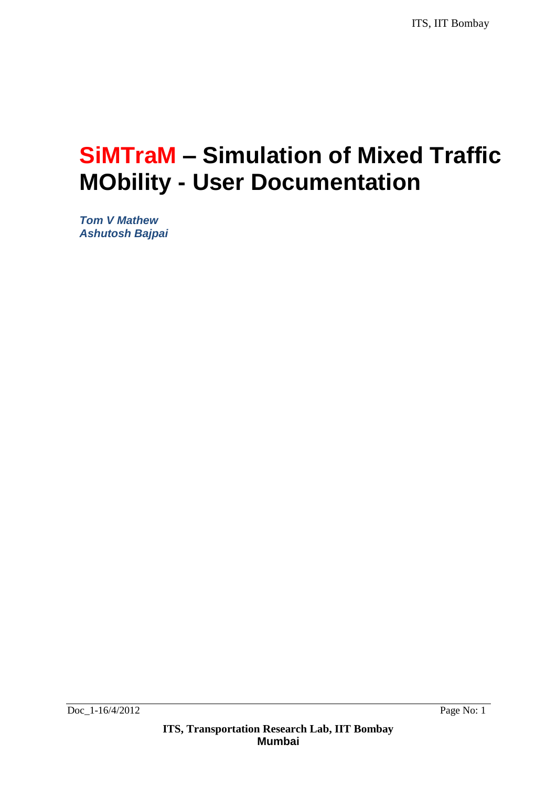# **SiMTraM – Simulation of Mixed Traffic MObility - User Documentation**

*Tom V Mathew Ashutosh Bajpai*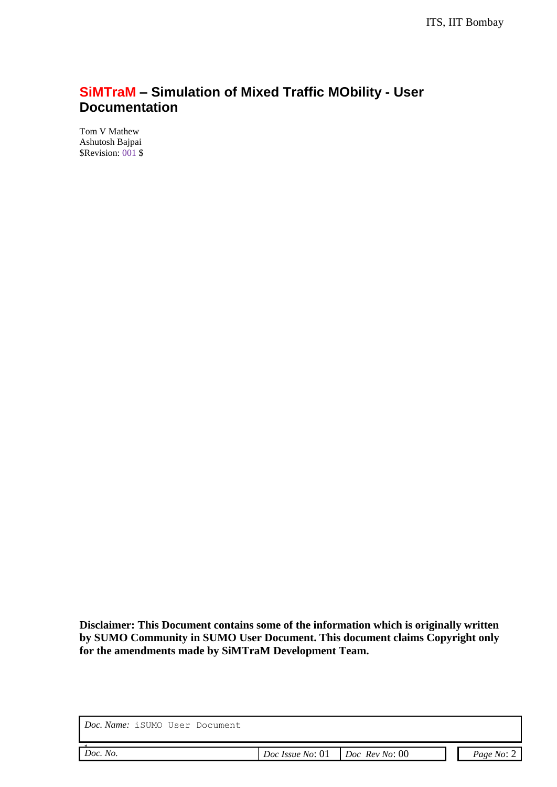### **SiMTraM – Simulation of Mixed Traffic MObility - User Documentation**

Tom V Mathew Ashutosh Bajpai \$Revision: 001 \$

**Disclaimer: This Document contains some of the information which is originally written by SUMO Community in SUMO User Document. This document claims Copyright only for the amendments made by SiMTraM Development Team.**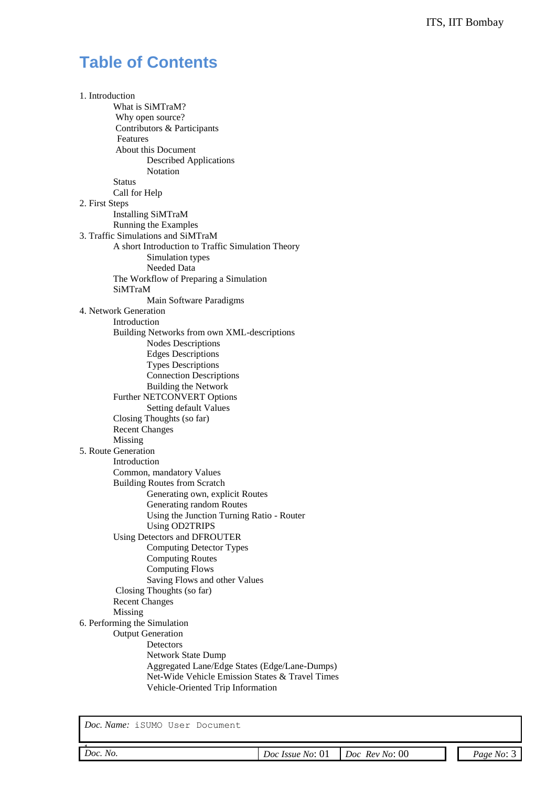### **Table of Contents**

1. Introduction What is SiMTraM? Why open source? Contributors & Participants Features About this Document Described Applications Notation Status Call for Help 2. First Steps Installing SiMTraM Running the Examples 3. Traffic Simulations and SiMTraM A short Introduction to Traffic Simulation Theory Simulation types Needed Data The Workflow of Preparing a Simulation SiMTraM Main Software Paradigms 4. Network Generation Introduction Building Networks from own XML-descriptions Nodes Descriptions Edges Descriptions Types Descriptions Connection Descriptions Building the Network Further NETCONVERT Options Setting default Values Closing Thoughts (so far) Recent Changes Missing 5. Route Generation Introduction Common, mandatory Values Building Routes from Scratch Generating own, explicit Routes Generating random Routes Using the Junction Turning Ratio - Router Using OD2TRIPS Using Detectors and DFROUTER Computing Detector Types Computing Routes Computing Flows Saving Flows and other Values Closing Thoughts (so far) Recent Changes Missing 6. Performing the Simulation Output Generation **Detectors**  Network State Dump Aggregated Lane/Edge States (Edge/Lane-Dumps) Net-Wide Vehicle Emission States & Travel Times Vehicle-Oriented Trip Information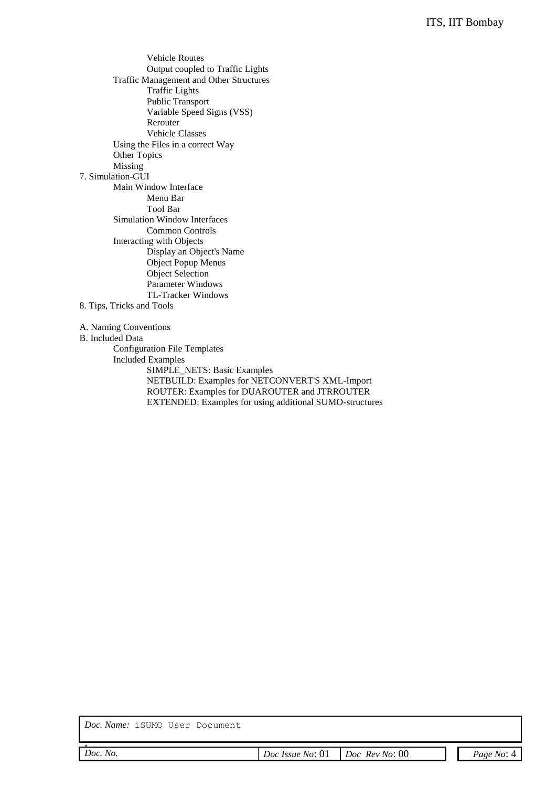Vehicle Routes Output coupled to Traffic Lights Traffic Management and Other Structures Traffic Lights Public Transport Variable Speed Signs (VSS) Rerouter Vehicle Classes Using the Files in a correct Way Other Topics Missing 7. Simulation-GUI Main Window Interface Menu Bar Tool Bar Simulation Window Interfaces Common Controls Interacting with Objects Display an Object's Name Object Popup Menus Object Selection Parameter Windows TL-Tracker Windows 8. Tips, Tricks and Tools

- A. Naming Conventions
- B. Included Data

Configuration File Templates Included Examples SIMPLE\_NETS: Basic Examples NETBUILD: Examples for NETCONVERT'S XML-Import ROUTER: Examples for DUAROUTER and JTRROUTER EXTENDED: Examples for using additional SUMO-structures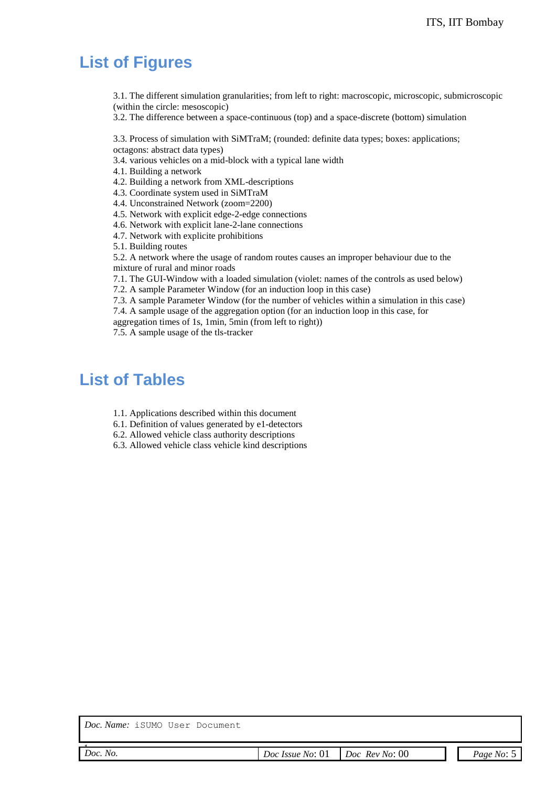### **List of Figures**

3.1. The different simulation granularities; from left to right: macroscopic, microscopic, submicroscopic (within the circle: mesoscopic)

3.2. The difference between a space-continuous (top) and a space-discrete (bottom) simulation

3.3. Process of simulation with SiMTraM; (rounded: definite data types; boxes: applications; octagons: abstract data types)

3.4. various vehicles on a mid-block with a typical lane width

4.1. Building a network

4.2. Building a network from XML-descriptions

4.3. Coordinate system used in SiMTraM

4.4. Unconstrained Network (zoom=2200)

4.5. Network with explicit edge-2-edge connections

4.6. Network with explicit lane-2-lane connections

4.7. Network with explicite prohibitions

5.1. Building routes

5.2. A network where the usage of random routes causes an improper behaviour due to the mixture of rural and minor roads

7.1. The GUI-Window with a loaded simulation (violet: names of the controls as used below)

7.2. A sample Parameter Window (for an induction loop in this case)

7.3. A sample Parameter Window (for the number of vehicles within a simulation in this case) 7.4. A sample usage of the aggregation option (for an induction loop in this case, for

aggregation times of 1s, 1min, 5min (from left to right)) 7.5. A sample usage of the tls-tracker

### **List of Tables**

- 1.1. Applications described within this document
- 6.1. Definition of values generated by e1-detectors
- 6.2. Allowed vehicle class authority descriptions

6.3. Allowed vehicle class vehicle kind descriptions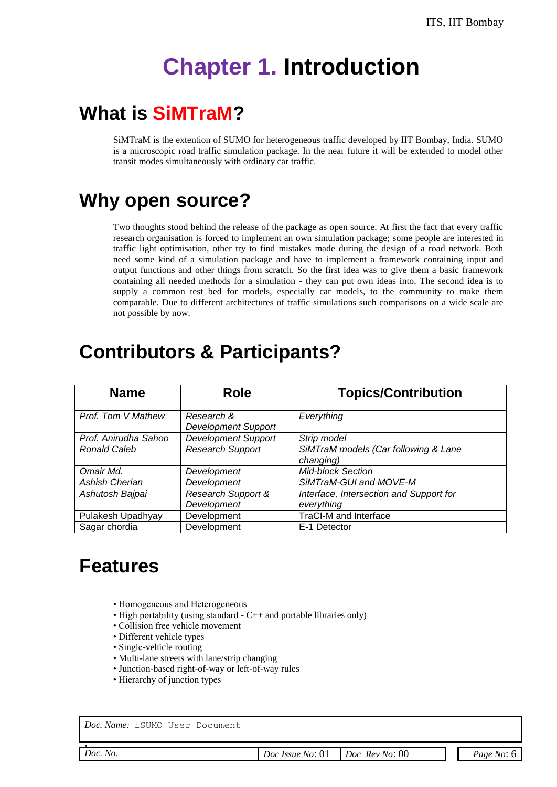# **Chapter 1. Introduction**

## **What is SiMTraM?**

SiMTraM is the extention of SUMO for heterogeneous traffic developed by IIT Bombay, India. SUMO is a microscopic road traffic simulation package. In the near future it will be extended to model other transit modes simultaneously with ordinary car traffic.

## **Why open source?**

Two thoughts stood behind the release of the package as open source. At first the fact that every traffic research organisation is forced to implement an own simulation package; some people are interested in traffic light optimisation, other try to find mistakes made during the design of a road network. Both need some kind of a simulation package and have to implement a framework containing input and output functions and other things from scratch. So the first idea was to give them a basic framework containing all needed methods for a simulation - they can put own ideas into. The second idea is to supply a common test bed for models, especially car models, to the community to make them comparable. Due to different architectures of traffic simulations such comparisons on a wide scale are not possible by now.

## **Contributors & Participants?**

| <b>Name</b>           | Role                                     | <b>Topics/Contribution</b>                            |
|-----------------------|------------------------------------------|-------------------------------------------------------|
| Prof. Tom V Mathew    | Research &<br><b>Development Support</b> | Everything                                            |
| Prof. Anirudha Sahoo  | <b>Development Support</b>               | Strip model                                           |
| <b>Ronald Caleb</b>   | <b>Research Support</b>                  | SiMTraM models (Car following & Lane<br>changing)     |
| Omair Md.             | Development                              | <b>Mid-block Section</b>                              |
| <b>Ashish Cherian</b> | Development                              | SiMTraM-GUI and MOVE-M                                |
| Ashutosh Bajpai       | Research Support &<br>Development        | Interface, Intersection and Support for<br>everything |
| Pulakesh Upadhyay     | Development                              | <b>TraCI-M and Interface</b>                          |
| Sagar chordia         | Development                              | E-1 Detector                                          |

## **Features**

- Homogeneous and Heterogeneous
- High portability (using standard  $-C++$  and portable libraries only)
- Collision free vehicle movement
- Different vehicle types
- Single-vehicle routing
- Multi-lane streets with lane/strip changing
- Junction-based right-of-way or left-of-way rules
- Hierarchy of junction types

*Doc. Name:* iSUMO User Document

| Doe No |  |
|--------|--|

*Doc. No. Doc Issue No*: 01 *Doc Rev No*: 00 *Page No*: 6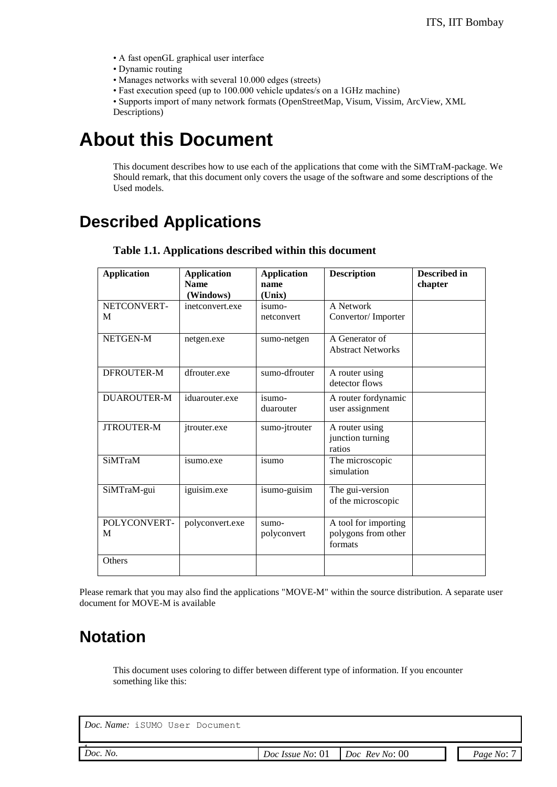- A fast openGL graphical user interface
- Dynamic routing
- Manages networks with several 10.000 edges (streets)
- Fast execution speed (up to 100.000 vehicle updates/s on a 1GHz machine)

• Supports import of many network formats (OpenStreetMap, Visum, Vissim, ArcView, XML Descriptions)

## **About this Document**

This document describes how to use each of the applications that come with the SiMTraM-package. We Should remark, that this document only covers the usage of the software and some descriptions of the Used models.

## **Described Applications**

| <b>Application</b> | <b>Application</b>           | <b>Application</b> | <b>Description</b>            | Described in |
|--------------------|------------------------------|--------------------|-------------------------------|--------------|
|                    | <b>Name</b>                  | name               |                               | chapter      |
| NETCONVERT-        | (Windows)<br>inetconvert.exe | (Unix)<br>isumo-   | A Network                     |              |
| M                  |                              | netconvert         | Convertor/Importer            |              |
|                    |                              |                    |                               |              |
| NETGEN-M           | netgen.exe                   | sumo-netgen        | A Generator of                |              |
|                    |                              |                    | <b>Abstract Networks</b>      |              |
| DFROUTER-M         | dfrouter.exe                 | sumo-dfrouter      | A router using                |              |
|                    |                              |                    | detector flows                |              |
| <b>DUAROUTER-M</b> | iduarouter.exe               | isumo-             | A router fordynamic           |              |
|                    |                              | duarouter          | user assignment               |              |
| <b>JTROUTER-M</b>  | jtrouter.exe                 | sumo-jtrouter      | A router using                |              |
|                    |                              |                    | junction turning              |              |
|                    |                              |                    | ratios                        |              |
| <b>SiMTraM</b>     | isumo.exe                    | isumo              | The microscopic<br>simulation |              |
|                    |                              |                    |                               |              |
| SiMTraM-gui        | iguisim.exe                  | isumo-guisim       | The gui-version               |              |
|                    |                              |                    | of the microscopic            |              |
| POLYCONVERT-       | polyconvert.exe              | sumo-              | A tool for importing          |              |
| M                  |                              | polyconvert        | polygons from other           |              |
|                    |                              |                    | formats                       |              |
| Others             |                              |                    |                               |              |
|                    |                              |                    |                               |              |

**Table 1.1. Applications described within this document**

Please remark that you may also find the applications "MOVE-M" within the source distribution. A separate user document for MOVE-M is available

## **Notation**

This document uses coloring to differ between different type of information. If you encounter something like this: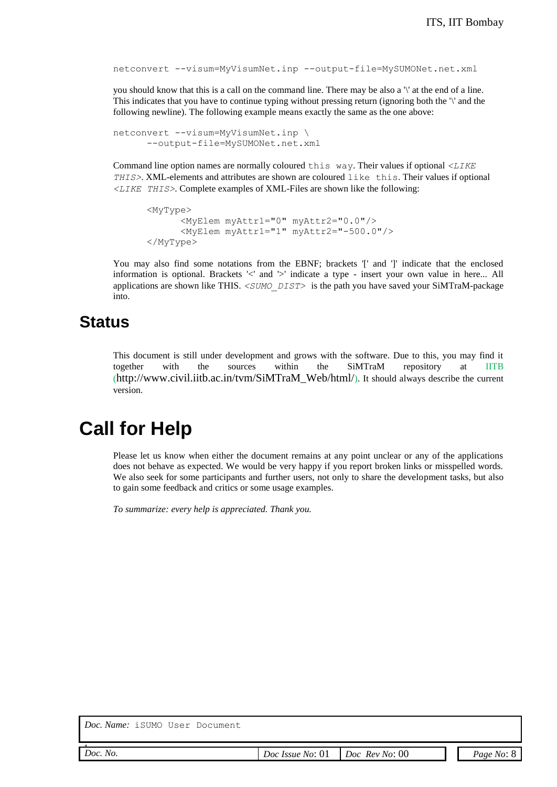```
netconvert --visum=MyVisumNet.inp --output-file=MySUMONet.net.xml
```
you should know that this is a call on the command line. There may be also a '\' at the end of a line. This indicates that you have to continue typing without pressing return (ignoring both the '\' and the following newline). The following example means exactly the same as the one above:

```
netconvert --visum=MyVisumNet.inp \
      --output-file=MySUMONet.net.xml
```
Command line option names are normally coloured this way. Their values if optional *<LIKE THIS>*. XML-elements and attributes are shown are coloured like this. Their values if optional *<LIKE THIS>*. Complete examples of XML-Files are shown like the following:

```
<MyType>
      <MyElem myAttr1="0" myAttr2="0.0"/>
      <MyElem myAttr1="1" myAttr2="-500.0"/>
</MyType>
```
You may also find some notations from the EBNF; brackets '[' and ']' indicate that the enclosed information is optional. Brackets '<' and '>' indicate a type - insert your own value in here... All applications are shown like THIS. *<SUMO\_DIST>* is the path you have saved your SiMTraM-package into.

### **Status**

This document is still under development and grows with the software. Due to this, you may find it together with the sources within the SiMTraM repository at IITB (http://www.civil.iitb.ac.in/tvm/SiMTraM\_Web/html/). It should always describe the current version.

## **Call for Help**

Please let us know when either the document remains at any point unclear or any of the applications does not behave as expected. We would be very happy if you report broken links or misspelled words. We also seek for some participants and further users, not only to share the development tasks, but also to gain some feedback and critics or some usage examples.

*To summarize: every help is appreciated. Thank you.*

| Doc No |  |
|--------|--|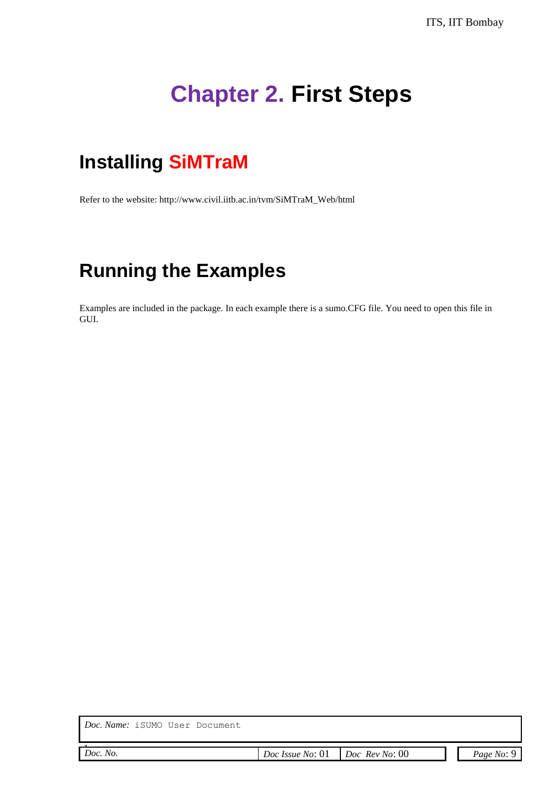# **Chapter 2. First Steps**

## **Installing SiMTraM**

Refer to the website: http://www.civil.iitb.ac.in/tvm/SiMTraM\_Web/html

## **Running the Examples**

Examples are included in the package. In each example there is a sumo.CFG file. You need to open this file in GUI.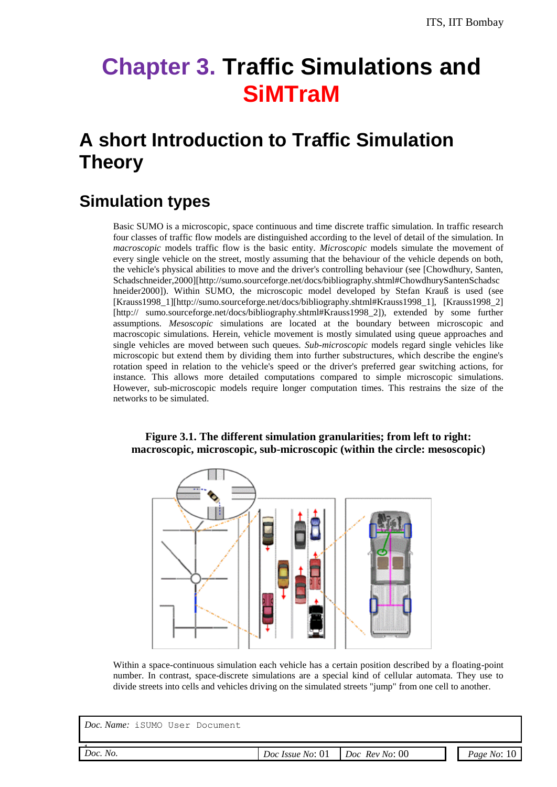# **Chapter 3. Traffic Simulations and SiMTraM**

## **A short Introduction to Traffic Simulation Theory**

## **Simulation types**

Basic SUMO is a microscopic, space continuous and time discrete traffic simulation. In traffic research four classes of traffic flow models are distinguished according to the level of detail of the simulation. In *macroscopic* models traffic flow is the basic entity. *Microscopic* models simulate the movement of every single vehicle on the street, mostly assuming that the behaviour of the vehicle depends on both, the vehicle's physical abilities to move and the driver's controlling behaviour (see [Chowdhury, Santen, Schadschneider,2000][http://sumo.sourceforge.net/docs/bibliography.shtml#ChowdhurySantenSchadsc hneider2000]). Within SUMO, the microscopic model developed by Stefan Krauß is used (see [Krauss1998\_1][http://sumo.sourceforge.net/docs/bibliography.shtml#Krauss1998\_1], [Krauss1998\_2] [http:// sumo.sourceforge.net/docs/bibliography.shtml#Krauss1998\_2]), extended by some further assumptions. *Mesoscopic* simulations are located at the boundary between microscopic and macroscopic simulations. Herein, vehicle movement is mostly simulated using queue approaches and single vehicles are moved between such queues. *Sub-microscopic* models regard single vehicles like microscopic but extend them by dividing them into further substructures, which describe the engine's rotation speed in relation to the vehicle's speed or the driver's preferred gear switching actions, for instance. This allows more detailed computations compared to simple microscopic simulations. However, sub-microscopic models require longer computation times. This restrains the size of the networks to be simulated.

#### **Figure 3.1. The different simulation granularities; from left to right: macroscopic, microscopic, sub-microscopic (within the circle: mesoscopic)**



Within a space-continuous simulation each vehicle has a certain position described by a floating-point number. In contrast, space-discrete simulations are a special kind of cellular automata. They use to divide streets into cells and vehicles driving on the simulated streets "jump" from one cell to another.

| Doc No |  |
|--------|--|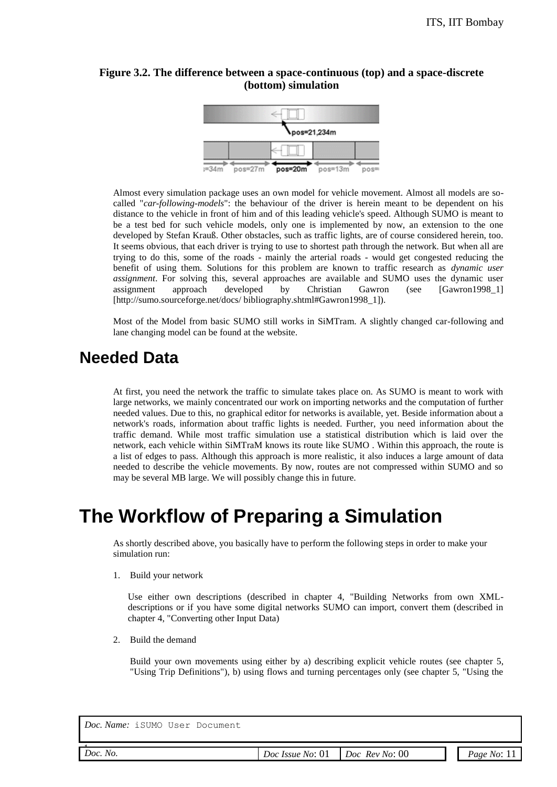#### **Figure 3.2. The difference between a space-continuous (top) and a space-discrete (bottom) simulation**



Almost every simulation package uses an own model for vehicle movement. Almost all models are socalled "*car-following-models*": the behaviour of the driver is herein meant to be dependent on his distance to the vehicle in front of him and of this leading vehicle's speed. Although SUMO is meant to be a test bed for such vehicle models, only one is implemented by now, an extension to the one developed by Stefan Krauß. Other obstacles, such as traffic lights, are of course considered herein, too. It seems obvious, that each driver is trying to use to shortest path through the network. But when all are trying to do this, some of the roads - mainly the arterial roads - would get congested reducing the benefit of using them. Solutions for this problem are known to traffic research as *dynamic user assignment*. For solving this, several approaches are available and SUMO uses the dynamic user assignment approach developed by Christian Gawron (see [Gawron1998\_1] [http://sumo.sourceforge.net/docs/ bibliography.shtml#Gawron1998\_1]).

Most of the Model from basic SUMO still works in SiMTram. A slightly changed car-following and lane changing model can be found at the website.

## **Needed Data**

At first, you need the network the traffic to simulate takes place on. As SUMO is meant to work with large networks, we mainly concentrated our work on importing networks and the computation of further needed values. Due to this, no graphical editor for networks is available, yet. Beside information about a network's roads, information about traffic lights is needed. Further, you need information about the traffic demand. While most traffic simulation use a statistical distribution which is laid over the network, each vehicle within SiMTraM knows its route like SUMO . Within this approach, the route is a list of edges to pass. Although this approach is more realistic, it also induces a large amount of data needed to describe the vehicle movements. By now, routes are not compressed within SUMO and so may be several MB large. We will possibly change this in future.

## **The Workflow of Preparing a Simulation**

As shortly described above, you basically have to perform the following steps in order to make your simulation run:

1. Build your network

Use either own descriptions (described in chapter 4, "Building Networks from own XMLdescriptions or if you have some digital networks SUMO can import, convert them (described in chapter 4, "Converting other Input Data)

2. Build the demand

Build your own movements using either by a) describing explicit vehicle routes (see chapter 5, "Using Trip Definitions"), b) using flows and turning percentages only (see chapter 5, "Using the

| Doc. Name: iSUMO User Document |  |  |  |
|--------------------------------|--|--|--|
|--------------------------------|--|--|--|

| Doc No |  |
|--------|--|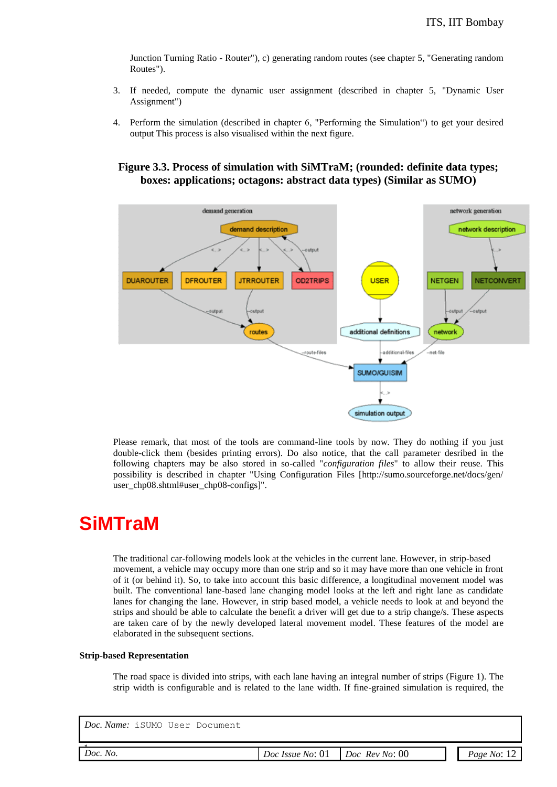Junction Turning Ratio - Router"), c) generating random routes (see chapter 5, "Generating random Routes").

- 3. If needed, compute the dynamic user assignment (described in chapter 5, "Dynamic User Assignment")
- 4. Perform the simulation (described in chapter 6, "Performing the Simulation") to get your desired output This process is also visualised within the next figure.

**Figure 3.3. Process of simulation with SiMTraM; (rounded: definite data types; boxes: applications; octagons: abstract data types) (Similar as SUMO)**



Please remark, that most of the tools are command-line tools by now. They do nothing if you just double-click them (besides printing errors). Do also notice, that the call parameter desribed in the following chapters may be also stored in so-called "*configuration files*" to allow their reuse. This possibility is described in chapter "Using Configuration Files [http://sumo.sourceforge.net/docs/gen/ user\_chp08.shtml#user\_chp08-configs]".

## **SiMTraM**

The traditional car-following models look at the vehicles in the current lane. However, in strip-based movement, a vehicle may occupy more than one strip and so it may have more than one vehicle in front of it (or behind it). So, to take into account this basic difference, a longitudinal movement model was built. The conventional lane-based lane changing model looks at the left and right lane as candidate lanes for changing the lane. However, in strip based model, a vehicle needs to look at and beyond the strips and should be able to calculate the benefit a driver will get due to a strip change/s. These aspects are taken care of by the newly developed lateral movement model. These features of the model are elaborated in the subsequent sections.

#### **Strip-based Representation**

The road space is divided into strips, with each lane having an integral number of strips (Figure 1). The strip width is configurable and is related to the lane width. If fine-grained simulation is required, the

*Doc. No.*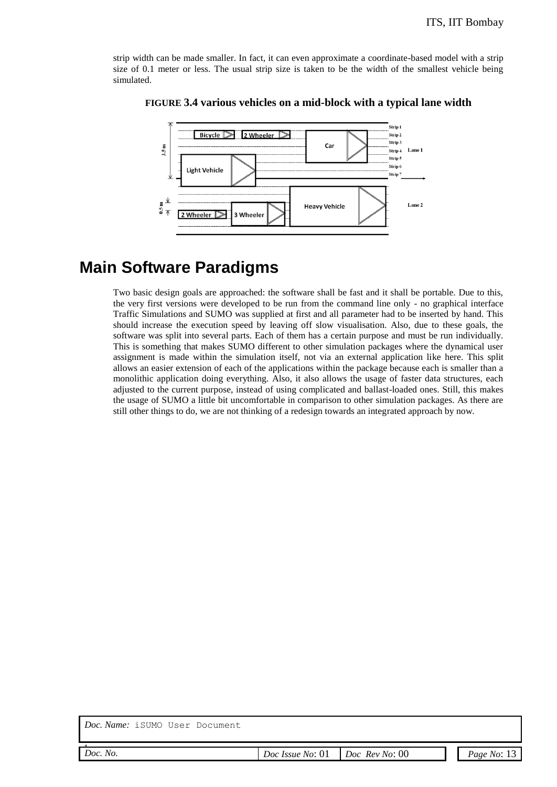strip width can be made smaller. In fact, it can even approximate a coordinate-based model with a strip size of 0.1 meter or less. The usual strip size is taken to be the width of the smallest vehicle being simulated.



#### **FIGURE 3.4 various vehicles on a mid-block with a typical lane width**

## **Main Software Paradigms**

Two basic design goals are approached: the software shall be fast and it shall be portable. Due to this, the very first versions were developed to be run from the command line only - no graphical interface Traffic Simulations and SUMO was supplied at first and all parameter had to be inserted by hand. This should increase the execution speed by leaving off slow visualisation. Also, due to these goals, the software was split into several parts. Each of them has a certain purpose and must be run individually. This is something that makes SUMO different to other simulation packages where the dynamical user assignment is made within the simulation itself, not via an external application like here. This split allows an easier extension of each of the applications within the package because each is smaller than a monolithic application doing everything. Also, it also allows the usage of faster data structures, each adjusted to the current purpose, instead of using complicated and ballast-loaded ones. Still, this makes the usage of SUMO a little bit uncomfortable in comparison to other simulation packages. As there are still other things to do, we are not thinking of a redesign towards an integrated approach by now.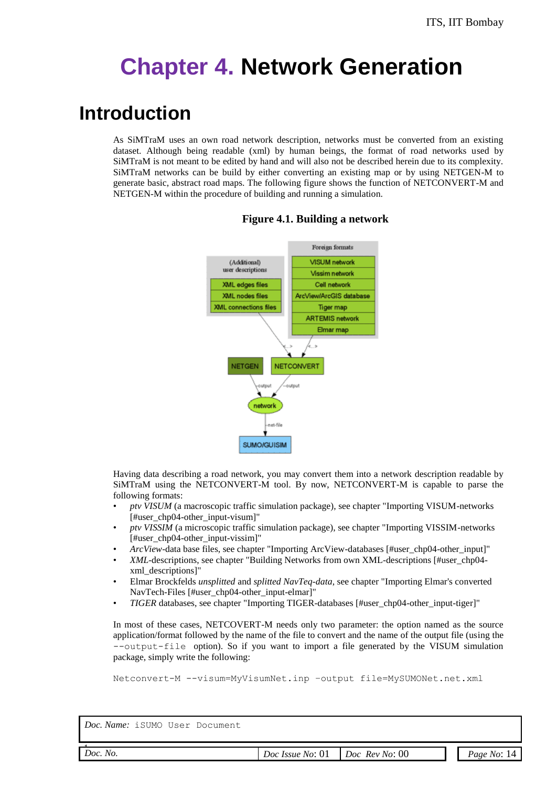# **Chapter 4. Network Generation**

## **Introduction**

As SiMTraM uses an own road network description, networks must be converted from an existing dataset. Although being readable (xml) by human beings, the format of road networks used by SiMTraM is not meant to be edited by hand and will also not be described herein due to its complexity. SiMTraM networks can be build by either converting an existing map or by using NETGEN-M to generate basic, abstract road maps. The following figure shows the function of NETCONVERT-M and NETGEN-M within the procedure of building and running a simulation.



#### **Figure 4.1. Building a network**

Having data describing a road network, you may convert them into a network description readable by SiMTraM using the NETCONVERT-M tool. By now, NETCONVERT-M is capable to parse the following formats:

- *ptv VISUM* (a macroscopic traffic simulation package), see chapter "Importing VISUM-networks [#user\_chp04-other\_input-visum]"
- *ptv VISSIM* (a microscopic traffic simulation package), see chapter "Importing VISSIM-networks [#user\_chp04-other\_input-vissim]"
- *ArcView*-data base files, see chapter "Importing ArcView-databases [#user\_chp04-other\_input]"
- *XML*-descriptions, see chapter "Building Networks from own XML-descriptions [#user\_chp04 xml\_descriptions]"
- Elmar Brockfelds *unsplitted* and *splitted NavTeq-data*, see chapter "Importing Elmar's converted NavTech-Files [#user\_chp04-other\_input-elmar]"
- *TIGER* databases, see chapter "Importing TIGER-databases [#user\_chp04-other\_input-tiger]"

In most of these cases, NETCOVERT-M needs only two parameter: the option named as the source application/format followed by the name of the file to convert and the name of the output file (using the --output-file option). So if you want to import a file generated by the VISUM simulation package, simply write the following:

Netconvert-M --visum=MyVisumNet.inp –output file=MySUMONet.net.xml

| Doc.<br>No. | . .<br>No:<br><i>Issue</i><br>90C<br>J'<br>. | 00<br>No:<br><i><b>Rev</b></i><br>JОC<br>__<br>. | No:<br>Page |
|-------------|----------------------------------------------|--------------------------------------------------|-------------|
|             |                                              |                                                  |             |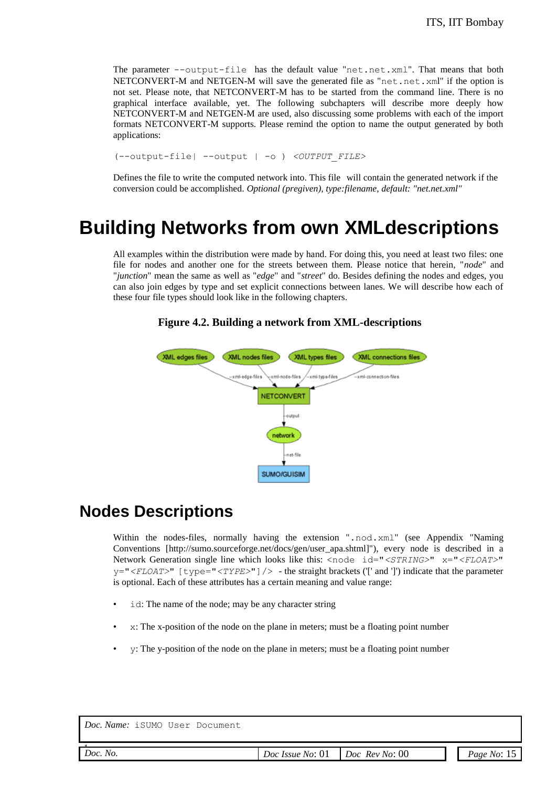The parameter --output-file has the default value "net.net.xml". That means that both NETCONVERT-M and NETGEN-M will save the generated file as "net.net.xml" if the option is not set. Please note, that NETCONVERT-M has to be started from the command line. There is no graphical interface available, yet. The following subchapters will describe more deeply how NETCONVERT-M and NETGEN-M are used, also discussing some problems with each of the import formats NETCONVERT-M supports. Please remind the option to name the output generated by both applications:

(--output-file| --output | -o ) *<OUTPUT\_FILE>*

Defines the file to write the computed network into. This file will contain the generated network if the conversion could be accomplished. *Optional (pregiven), type:filename, default: "net.net.xml"*

## **Building Networks from own XMLdescriptions**

All examples within the distribution were made by hand. For doing this, you need at least two files: one file for nodes and another one for the streets between them. Please notice that herein, "*node*" and "*junction*" mean the same as well as "*edge*" and "*street*" do. Besides defining the nodes and edges, you can also join edges by type and set explicit connections between lanes. We will describe how each of these four file types should look like in the following chapters.



#### **Figure 4.2. Building a network from XML-descriptions**

### **Nodes Descriptions**

Within the nodes-files, normally having the extension ".nod.xml" (see Appendix "Naming Conventions [http://sumo.sourceforge.net/docs/gen/user\_apa.shtml]"), every node is described in a Network Generation single line which looks like this: <node id="*<STRING>*" x="*<FLOAT>*" y="*<FLOAT>*" [type="*<TYPE>*"]/> - the straight brackets ('[' and ']') indicate that the parameter is optional. Each of these attributes has a certain meaning and value range:

- id: The name of the node; may be any character string
- x: The x-position of the node on the plane in meters; must be a floating point number
- y: The y-position of the node on the plane in meters; must be a floating point number

| Doc. Name: iSUMO User Document |                  |                       |               |
|--------------------------------|------------------|-----------------------|---------------|
| Doc. No.                       | Doc Issue No: 01 | $Doc$ $Rev$ $No$ : 00 | Page No: $15$ |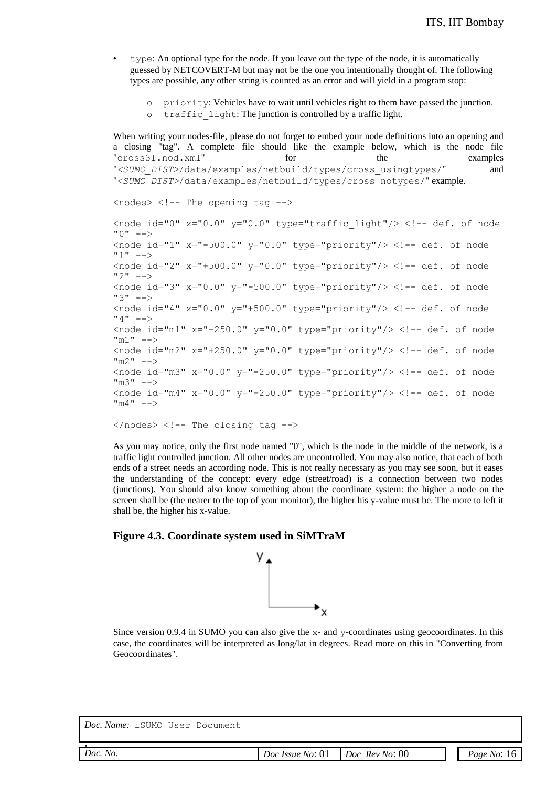- type: An optional type for the node. If you leave out the type of the node, it is automatically guessed by NETCOVERT-M but may not be the one you intentionally thought of. The following types are possible, any other string is counted as an error and will yield in a program stop:
	- o priority: Vehicles have to wait until vehicles right to them have passed the junction.
	- o traffic\_light: The junction is controlled by a traffic light.

When writing your nodes-file, please do not forget to embed your node definitions into an opening and a closing "tag". A complete file should like the example below, which is the node file "cross3l.nod.xml" for the examples "*<SUMO\_DIST>*/data/examples/netbuild/types/cross\_usingtypes/" and "*<SUMO\_DIST>*/data/examples/netbuild/types/cross\_notypes/" example.

```
<nodes> <!-- The opening tag -->
```
<node id="0"  $x=$ "0.0"  $y=$ "0.0" type="traffic light"/> <!-- def. of node  $"0" -- >$  $\langle \text{node id} = "1" x = "-500.0" y = "0.0" \text{type} = "priority" / \rangle \langle !--\text{def. of node}$  $11" - -5$  $\langle \text{node id} = "2" x = "+500.0" y = "0.0" type = "priority" /< !-- def. of node$  $"2" -- >$  $\langle \text{node id} = "3" x = "0.0" y = "-500.0" type = "priority" /<!-- def. of node"</math>$  $"3" - - >$  $\langle \text{node id} = "4" x = "0.0" y = "+500.0" type = "priority" /<!-- def. of node</math>$  $"4" --->$  $\alpha$  <node id="m1" x="-250.0" y="0.0" type="priority"/> <!-- def. of node "m1" -->  $\langle \text{node id} = \text{mm2" x} = \text{"+250.0" y} = \text{"0.0" type} = \text{priority" /< !-- def. of node$  $m_2$ "  $- \langle \text{node id} = \text{tm3" x} = \text{``0.0" y} = \text{``-250.0" type} = \text{``priority''/<!-- def. of node}</math>$  $m_3 - -$ > <node id="m4"  $x=$ "0.0"  $y=$ "+250.0" type="priority"/> <!-- def. of node "m4" -->

 $\langle$ /nodes>  $\langle$ !-- The closing tag -->

As you may notice, only the first node named "0", which is the node in the middle of the network, is a traffic light controlled junction. All other nodes are uncontrolled. You may also notice, that each of both ends of a street needs an according node. This is not really necessary as you may see soon, but it eases the understanding of the concept: every edge (street/road) is a connection between two nodes (junctions). You should also know something about the coordinate system: the higher a node on the screen shall be (the nearer to the top of your monitor), the higher his y-value must be. The more to left it shall be, the higher his x-value.

#### **Figure 4.3. Coordinate system used in SiMTraM**



Since version 0.9.4 in SUMO you can also give the x- and y-coordinates using geocoordinates. In this case, the coordinates will be interpreted as long/lat in degrees. Read more on this in "Converting from Geocoordinates".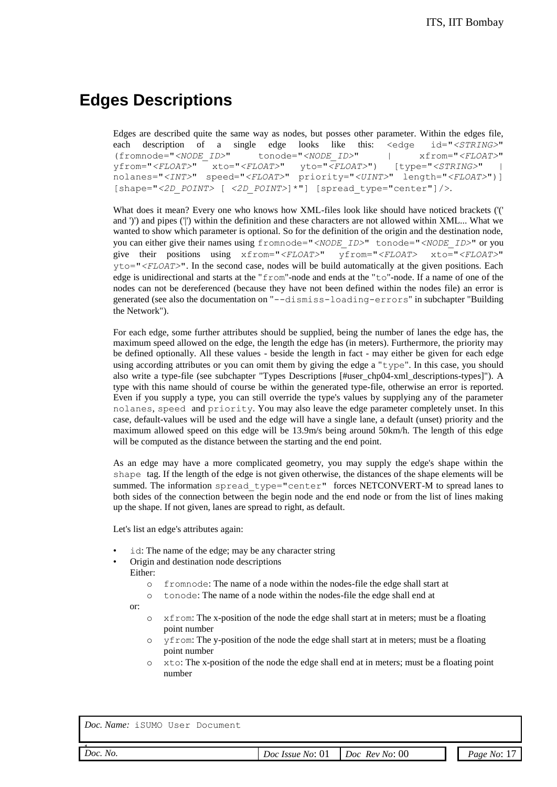## **Edges Descriptions**

Edges are described quite the same way as nodes, but posses other parameter. Within the edges file, each description of a single edge looks like this: <edge id="*<STRING>*" (fromnode="*<NODE\_ID>*" tonode="*<NODE\_ID>*" | xfrom="*<FLOAT>*" yfrom="*<FLOAT>*" xto="*<FLOAT>*" yto="*<FLOAT>*") [type="*<STRING>*" | nolanes="*<INT>*" speed="*<FLOAT>*" priority="*<UINT>*" length="*<FLOAT>*")] [shape="*<2D\_POINT>* [ *<2D\_POINT>*]\*"] [spread\_type="center"]/>.

What does it mean? Every one who knows how XML-files look like should have noticed brackets ('(' and ')') and pipes ('|') within the definition and these characters are not allowed within XML... What we wanted to show which parameter is optional. So for the definition of the origin and the destination node, you can either give their names using fromnode="*<NODE\_ID>*" tonode="*<NODE\_ID>*" or you give their positions using xfrom="*<FLOAT>*" yfrom="*<FLOAT>* xto="*<FLOAT>*" yto="*<FLOAT>*". In the second case, nodes will be build automatically at the given positions. Each edge is unidirectional and starts at the "from"-node and ends at the "to"-node. If a name of one of the nodes can not be dereferenced (because they have not been defined within the nodes file) an error is generated (see also the documentation on "--dismiss-loading-errors" in subchapter "Building the Network").

For each edge, some further attributes should be supplied, being the number of lanes the edge has, the maximum speed allowed on the edge, the length the edge has (in meters). Furthermore, the priority may be defined optionally. All these values - beside the length in fact - may either be given for each edge using according attributes or you can omit them by giving the edge a " $type$ ". In this case, you should also write a type-file (see subchapter "Types Descriptions [#user\_chp04-xml\_descriptions-types]"). A type with this name should of course be within the generated type-file, otherwise an error is reported. Even if you supply a type, you can still override the type's values by supplying any of the parameter nolanes, speed and priority. You may also leave the edge parameter completely unset. In this case, default-values will be used and the edge will have a single lane, a default (unset) priority and the maximum allowed speed on this edge will be 13.9m/s being around 50km/h. The length of this edge will be computed as the distance between the starting and the end point.

As an edge may have a more complicated geometry, you may supply the edge's shape within the shape tag. If the length of the edge is not given otherwise, the distances of the shape elements will be summed. The information spread type="center" forces NETCONVERT-M to spread lanes to both sides of the connection between the begin node and the end node or from the list of lines making up the shape. If not given, lanes are spread to right, as default.

Let's list an edge's attributes again:

- id: The name of the edge; may be any character string
- Origin and destination node descriptions Either:
	- o fromnode: The name of a node within the nodes-file the edge shall start at
	- o tonode: The name of a node within the nodes-file the edge shall end at

or:

- o xfrom: The x-position of the node the edge shall start at in meters; must be a floating point number
- o yfrom: The y-position of the node the edge shall start at in meters; must be a floating point number
- o xto: The x-position of the node the edge shall end at in meters; must be a floating point number

| Doc. No. |  |
|----------|--|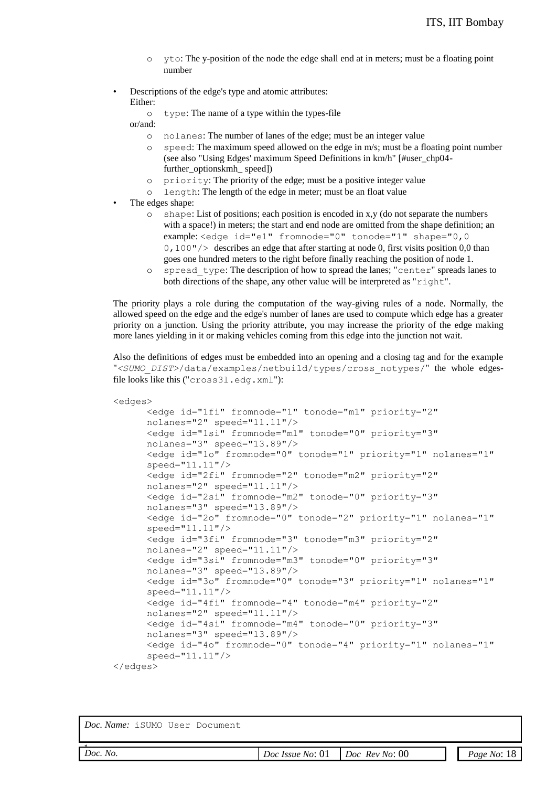- o yto: The y-position of the node the edge shall end at in meters; must be a floating point number
- Descriptions of the edge's type and atomic attributes: Either:
	- o type: The name of a type within the types-file

or/and:

- o nolanes: The number of lanes of the edge; must be an integer value
- o speed: The maximum speed allowed on the edge in m/s; must be a floating point number (see also "Using Edges' maximum Speed Definitions in km/h" [#user\_chp04 further\_optionskmh\_ speed])
- o priority: The priority of the edge; must be a positive integer value
- o length: The length of the edge in meter; must be an float value
- The edges shape:
	- o shape: List of positions; each position is encoded in x,y (do not separate the numbers with a space!) in meters; the start and end node are omitted from the shape definition; an example: <edge id="e1" fromnode="0" tonode="1" shape="0,0 0, 100" /> describes an edge that after starting at node 0, first visits position 0,0 than goes one hundred meters to the right before finally reaching the position of node 1.
	- o spread\_type: The description of how to spread the lanes; "center" spreads lanes to both directions of the shape, any other value will be interpreted as "right".

The priority plays a role during the computation of the way-giving rules of a node. Normally, the allowed speed on the edge and the edge's number of lanes are used to compute which edge has a greater priority on a junction. Using the priority attribute, you may increase the priority of the edge making more lanes yielding in it or making vehicles coming from this edge into the junction not wait.

Also the definitions of edges must be embedded into an opening and a closing tag and for the example "*<SUMO\_DIST>*/data/examples/netbuild/types/cross\_notypes/" the whole edgesfile looks like this ("cross3l.edg.xml"):

```
<edges>
      <edge id="1fi" fromnode="1" tonode="m1" priority="2" 
      nolanes="2" speed="11.11"/>
      <edge id="1si" fromnode="m1" tonode="0" priority="3" 
      nolanes="3" speed="13.89"/>
      <edge id="1o" fromnode="0" tonode="1" priority="1" nolanes="1" 
      speed="11.11"/>
      <edge id="2fi" fromnode="2" tonode="m2" priority="2" 
      nolanes="2" speed="11.11"/>
      <edge id="2si" fromnode="m2" tonode="0" priority="3" 
      nolanes="3" speed="13.89"/>
      <edge id="2o" fromnode="0" tonode="2" priority="1" nolanes="1" 
      speed="11.11"/>
      <edge id="3fi" fromnode="3" tonode="m3" priority="2" 
      nolanes="2" speed="11.11"/>
      <edge id="3si" fromnode="m3" tonode="0" priority="3" 
      nolanes="3" speed="13.89"/>
      <edge id="3o" fromnode="0" tonode="3" priority="1" nolanes="1" 
      speed="11.11"/>
      <edge id="4fi" fromnode="4" tonode="m4" priority="2" 
      nolanes="2" speed="11.11"/>
      <edge id="4si" fromnode="m4" tonode="0" priority="3" 
      nolanes="3" speed="13.89"/>
      <edge id="4o" fromnode="0" tonode="4" priority="1" nolanes="1" 
      speed="11.11"/>
</edges>
```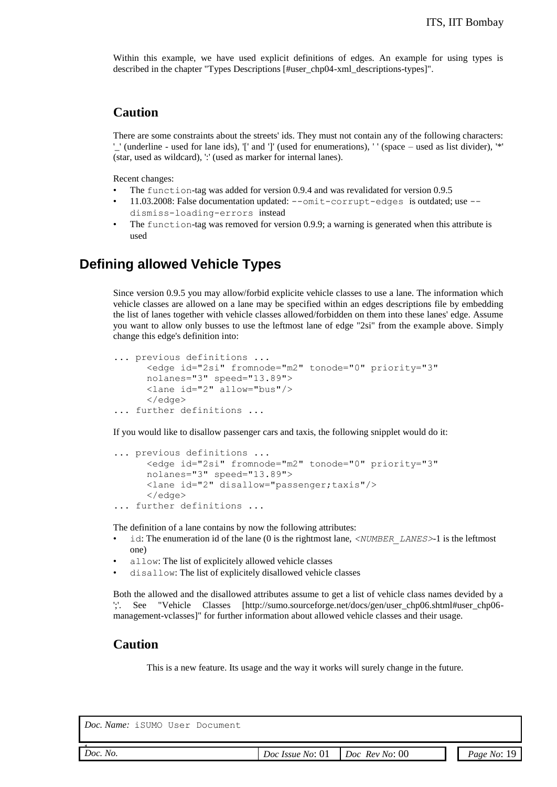Within this example, we have used explicit definitions of edges. An example for using types is described in the chapter "Types Descriptions [#user\_chp04-xml\_descriptions-types]".

#### **Caution**

There are some constraints about the streets' ids. They must not contain any of the following characters: '\_' (underline - used for lane ids), '[' and ']' (used for enumerations), ' ' (space – used as list divider), '\*' (star, used as wildcard), ':' (used as marker for internal lanes).

Recent changes:

- The function-tag was added for version 0.9.4 and was revalidated for version 0.9.5
- 11.03.2008: False documentation updated: --omit-corrupt-edges is outdated; use -dismiss-loading-errors instead
- The function-tag was removed for version 0.9.9; a warning is generated when this attribute is used

#### **Defining allowed Vehicle Types**

Since version 0.9.5 you may allow/forbid explicite vehicle classes to use a lane. The information which vehicle classes are allowed on a lane may be specified within an edges descriptions file by embedding the list of lanes together with vehicle classes allowed/forbidden on them into these lanes' edge. Assume you want to allow only busses to use the leftmost lane of edge "2si" from the example above. Simply change this edge's definition into:

```
... previous definitions ...
      <edge id="2si" fromnode="m2" tonode="0" priority="3" 
     nolanes="3" speed="13.89">
     <lane id="2" allow="bus"/>
      </edge>
... further definitions ...
```
If you would like to disallow passenger cars and taxis, the following snipplet would do it:

```
... previous definitions ...
     <edge id="2si" fromnode="m2" tonode="0" priority="3" 
     nolanes="3" speed="13.89">
     <lane id="2" disallow="passenger;taxis"/>
     </edge>
... further definitions ...
```
The definition of a lane contains by now the following attributes:

- id: The enumeration id of the lane (0 is the rightmost lane, *<NUMBER\_LANES>*-1 is the leftmost one)
- allow: The list of explicitely allowed vehicle classes
- disallow: The list of explicitely disallowed vehicle classes

Both the allowed and the disallowed attributes assume to get a list of vehicle class names devided by a ';'. See "Vehicle Classes [http://sumo.sourceforge.net/docs/gen/user\_chp06.shtml#user\_chp06 management-vclasses]" for further information about allowed vehicle classes and their usage.

#### **Caution**

This is a new feature. Its usage and the way it works will surely change in the future.

| Doc No |  |
|--------|--|
|        |  |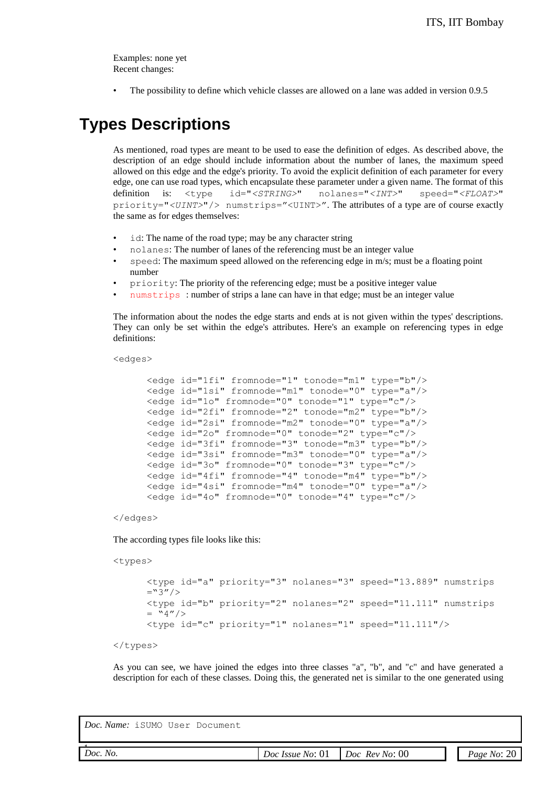Examples: none yet Recent changes:

• The possibility to define which vehicle classes are allowed on a lane was added in version 0.9.5

## **Types Descriptions**

As mentioned, road types are meant to be used to ease the definition of edges. As described above, the description of an edge should include information about the number of lanes, the maximum speed allowed on this edge and the edge's priority. To avoid the explicit definition of each parameter for every edge, one can use road types, which encapsulate these parameter under a given name. The format of this definition is: <type id="*<STRING>*" nolanes="*<INT>*" speed="*<FLOAT>*" priority="*<UINT>*"/> numstrips="<UINT>". The attributes of a type are of course exactly the same as for edges themselves:

- id: The name of the road type; may be any character string
- nolanes: The number of lanes of the referencing must be an integer value
- speed: The maximum speed allowed on the referencing edge in m/s; must be a floating point number
- priority: The priority of the referencing edge; must be a positive integer value
- numstrips : number of strips a lane can have in that edge; must be an integer value

The information about the nodes the edge starts and ends at is not given within the types' descriptions. They can only be set within the edge's attributes. Here's an example on referencing types in edge definitions:

<edges>

```
<edge id="1fi" fromnode="1" tonode="m1" type="b"/>
<edge id="1si" fromnode="m1" tonode="0" type="a"/>
<edge id="1o" fromnode="0" tonode="1" type="c"/>
<edge id="2fi" fromnode="2" tonode="m2" type="b"/>
<edge id="2si" fromnode="m2" tonode="0" type="a"/>
<edge id="2o" fromnode="0" tonode="2" type="c"/>
<edge id="3fi" fromnode="3" tonode="m3" type="b"/>
<edge id="3si" fromnode="m3" tonode="0" type="a"/>
<edge id="3o" fromnode="0" tonode="3" type="c"/>
<edge id="4fi" fromnode="4" tonode="m4" type="b"/>
<edge id="4si" fromnode="m4" tonode="0" type="a"/>
<edge id="4o" fromnode="0" tonode="4" type="c"/>
```
</edges>

The according types file looks like this:

<types>

```
<type id="a" priority="3" nolanes="3" speed="13.889" numstrips 
=<sup>n</sup>3''/<type id="b" priority="2" nolanes="2" speed="11.111" numstrips 
= "4"/>
<type id="c" priority="1" nolanes="1" speed="11.111"/>
```

```
</types>
```
As you can see, we have joined the edges into three classes "a", "b", and "c" and have generated a description for each of these classes. Doing this, the generated net is similar to the one generated using

| 00<br>Doc.<br>No.<br>No:<br>Doc<br>Kev<br>Page<br>Doc<br>No:<br>No <sup>'</sup><br>Issue<br><u>vi</u><br>.<br>__ |  |  |                      |
|------------------------------------------------------------------------------------------------------------------|--|--|----------------------|
|                                                                                                                  |  |  | າເ<br>$\overline{a}$ |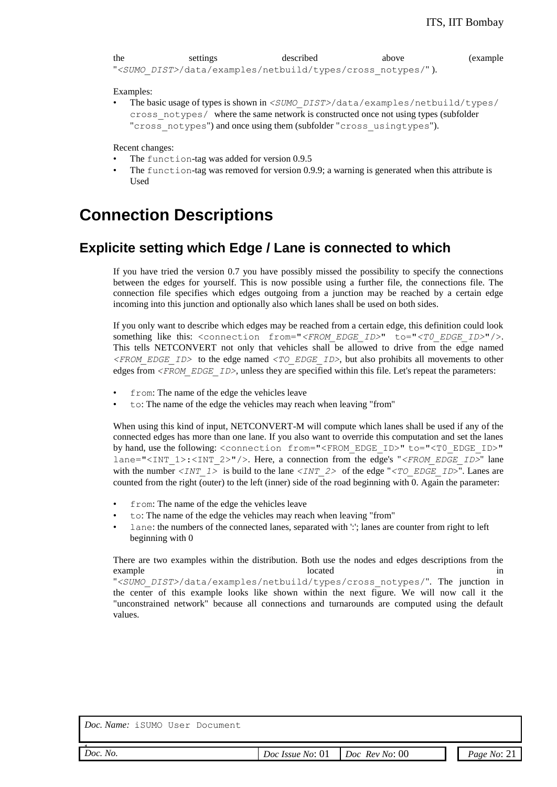```
the settings described above (example
"<SUMO_DIST>/data/examples/netbuild/types/cross_notypes/" ).
```
Examples:

• The basic usage of types is shown in *<SUMO\_DIST>*/data/examples/netbuild/types/ cross\_notypes/ where the same network is constructed once not using types (subfolder "cross notypes") and once using them (subfolder "cross usingtypes").

Recent changes:

- The function-tag was added for version 0.9.5
- The function-tag was removed for version 0.9.9; a warning is generated when this attribute is Used

### **Connection Descriptions**

#### **Explicite setting which Edge / Lane is connected to which**

If you have tried the version 0.7 you have possibly missed the possibility to specify the connections between the edges for yourself. This is now possible using a further file, the connections file. The connection file specifies which edges outgoing from a junction may be reached by a certain edge incoming into this junction and optionally also which lanes shall be used on both sides.

If you only want to describe which edges may be reached from a certain edge, this definition could look something like this: <connection from="<FROM\_EDGE\_ID>" to="<T0\_EDGE\_ID>"/>. This tells NETCONVERT not only that vehicles shall be allowed to drive from the edge named *<FROM\_EDGE\_ID>* to the edge named *<TO\_EDGE\_ID>*, but also prohibits all movements to other edges from *<FROM\_EDGE\_ID>*, unless they are specified within this file. Let's repeat the parameters:

- from: The name of the edge the vehicles leave
- to: The name of the edge the vehicles may reach when leaving "from"

When using this kind of input, NETCONVERT-M will compute which lanes shall be used if any of the connected edges has more than one lane. If you also want to override this computation and set the lanes by hand, use the following: <connection from="<FROM\_EDGE\_ID>" to="<T0\_EDGE\_ID>" lane="<INT\_1>:<INT\_2>"/>. Here, a connection from the edge's "*<FROM\_EDGE\_ID>*" lane with the number  $\langle INT_1 \rangle$  is build to the lane  $\langle INT_2 \rangle$  of the edge " $\langle TO_EDGE_ID\rangle$ ". Lanes are counted from the right (outer) to the left (inner) side of the road beginning with 0. Again the parameter:

- from: The name of the edge the vehicles leave
- to: The name of the edge the vehicles may reach when leaving "from"
- lane: the numbers of the connected lanes, separated with ':'; lanes are counter from right to left beginning with 0

There are two examples within the distribution. Both use the nodes and edges descriptions from the example in the located in the located in the located in the located in the located in the located in the located in the located in the located in the located in the located in the located in the located in the located in t

"*<SUMO\_DIST>*/data/examples/netbuild/types/cross\_notypes/". The junction in the center of this example looks like shown within the next figure. We will now call it the "unconstrained network" because all connections and turnarounds are computed using the default values.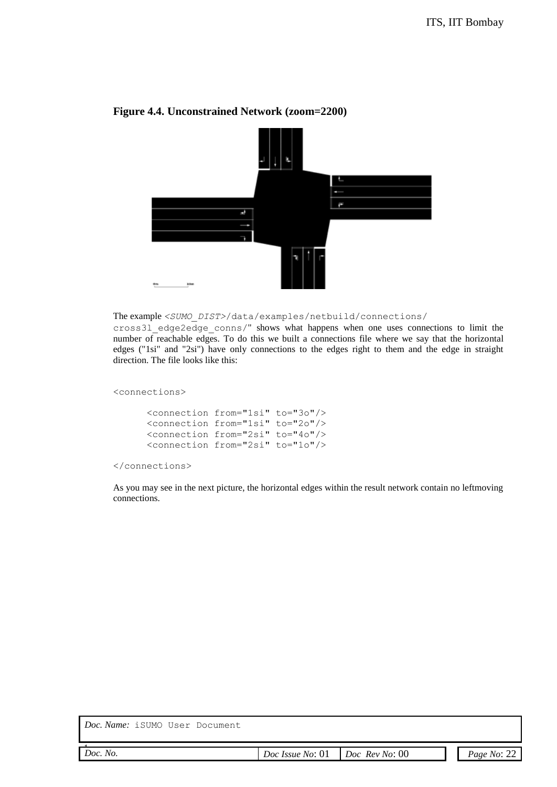

#### **Figure 4.4. Unconstrained Network (zoom=2200)**

#### The example *<SUMO\_DIST>*/data/examples/netbuild/connections/

cross3l\_edge2edge\_conns/" shows what happens when one uses connections to limit the number of reachable edges. To do this we built a connections file where we say that the horizontal edges ("1si" and "2si") have only connections to the edges right to them and the edge in straight direction. The file looks like this:

<connections>

```
<connection from="1si" to="3o"/>
<connection from="1si" to="2o"/>
<connection from="2si" to="4o"/>
<connection from="2si" to="1o"/>
```
</connections>

As you may see in the next picture, the horizontal edges within the result network contain no leftmoving connections.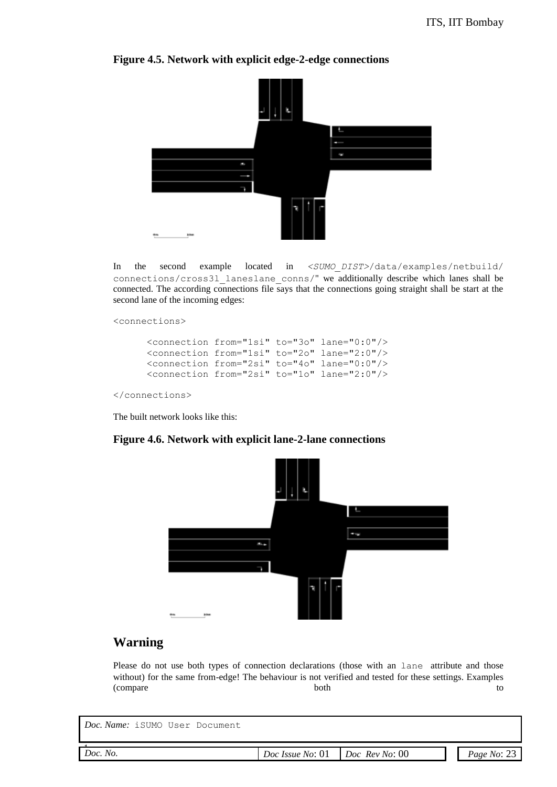

#### **Figure 4.5. Network with explicit edge-2-edge connections**

In the second example located in *<SUMO\_DIST>*/data/examples/netbuild/ connections/cross3l\_laneslane\_conns/" we additionally describe which lanes shall be connected. The according connections file says that the connections going straight shall be start at the second lane of the incoming edges:

<connections>

```
<connection from="1si" to="3o" lane="0:0"/>
<connection from="1si" to="2o" lane="2:0"/>
<connection from="2si" to="4o" lane="0:0"/>
<connection from="2si" to="1o" lane="2:0"/>
```
</connections>

The built network looks like this:

#### **Figure 4.6. Network with explicit lane-2-lane connections**



#### **Warning**

Please do not use both types of connection declarations (those with an lane attribute and those without) for the same from-edge! The behaviour is not verified and tested for these settings. Examples (compare both to  $\lambda$ 

| <i>Doc. Name:</i> iSUMO User Document |                                                   |  |             |
|---------------------------------------|---------------------------------------------------|--|-------------|
| Doc. No.                              | $Doc$ <i>Issue No</i> : 01 <i>Doc Rev No</i> : 00 |  | Page No: 23 |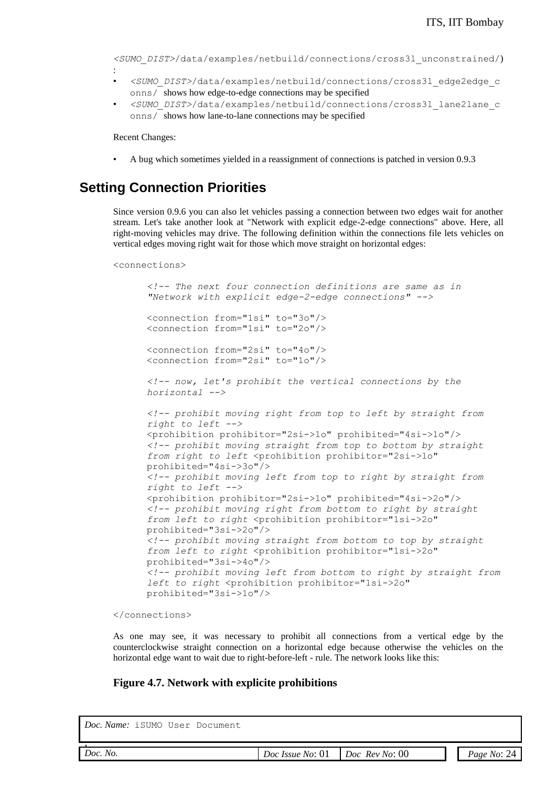*<SUMO\_DIST>*/data/examples/netbuild/connections/cross3l\_unconstrained/)

- *<SUMO\_DIST>*/data/examples/netbuild/connections/cross3l\_edge2edge\_c onns/ shows how edge-to-edge connections may be specified
- *<SUMO\_DIST>*/data/examples/netbuild/connections/cross3l\_lane2lane\_c onns/ shows how lane-to-lane connections may be specified

Recent Changes:

:

• A bug which sometimes yielded in a reassignment of connections is patched in version 0.9.3

#### **Setting Connection Priorities**

Since version 0.9.6 you can also let vehicles passing a connection between two edges wait for another stream. Let's take another look at "Network with explicit edge-2-edge connections" above. Here, all right-moving vehicles may drive. The following definition within the connections file lets vehicles on vertical edges moving right wait for those which move straight on horizontal edges:

<connections>

```
<!-- The next four connection definitions are same as in 
"Network with explicit edge-2-edge connections" -->
<connection from="1si" to="3o"/>
<connection from="1si" to="2o"/>
<connection from="2si" to="4o"/>
<connection from="2si" to="1o"/>
<!-- now, let's prohibit the vertical connections by the 
horizontal -->
<!-- prohibit moving right from top to left by straight from 
right to left -->
<prohibition prohibitor="2si->1o" prohibited="4si->1o"/>
<!-- prohibit moving straight from top to bottom by straight 
from right to left <prohibition prohibitor="2si->1o"
prohibited="4si->3o"/>
<!-- prohibit moving left from top to right by straight from 
right to left -->
<prohibition prohibitor="2si->1o" prohibited="4si->2o"/>
<!-- prohibit moving right from bottom to right by straight 
from left to right <prohibition prohibitor="1si->2o" 
prohibited="3si->2o"/>
<!-- prohibit moving straight from bottom to top by straight 
from left to right <prohibition prohibitor="1si->2o"
prohibited="3si->4o"/>
<!-- prohibit moving left from bottom to right by straight from 
left to right <prohibition prohibitor="1si->2o"
prohibited="3si->1o"/>
```
</connections>

As one may see, it was necessary to prohibit all connections from a vertical edge by the counterclockwise straight connection on a horizontal edge because otherwise the vehicles on the horizontal edge want to wait due to right-before-left - rule. The network looks like this:

#### **Figure 4.7. Network with explicite prohibitions**

| ne r | vΩ |
|------|----|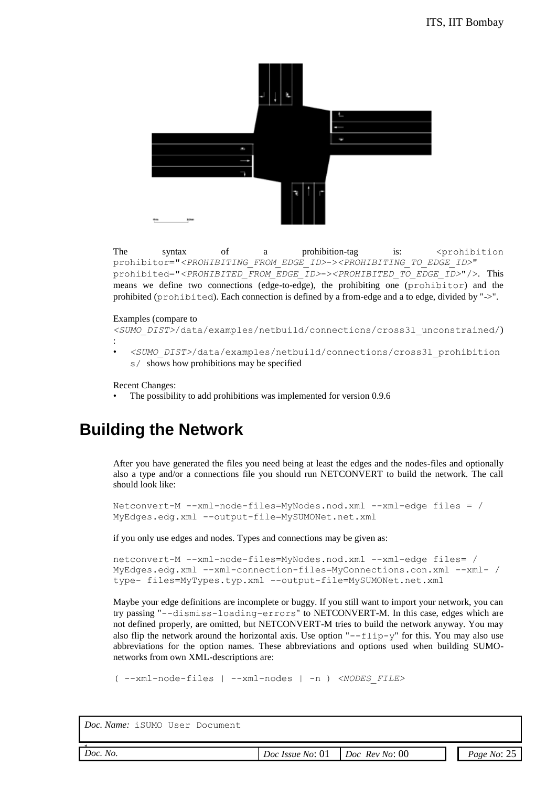

The syntax of a prohibition-tag is: <prohibition prohibitor="*<PROHIBITING\_FROM\_EDGE\_ID>*->*<PROHIBITING\_TO\_EDGE\_ID>*" prohibited="*<PROHIBITED\_FROM\_EDGE\_ID>*->*<PROHIBITED\_TO\_EDGE\_ID>*"/>. This means we define two connections (edge-to-edge), the prohibiting one (prohibitor) and the prohibited (prohibited). Each connection is defined by a from-edge and a to edge, divided by "->".

#### Examples (compare to

*<SUMO\_DIST>*/data/examples/netbuild/connections/cross3l\_unconstrained/) :

• *<SUMO\_DIST>*/data/examples/netbuild/connections/cross3l\_prohibition s/ shows how prohibitions may be specified

Recent Changes:

The possibility to add prohibitions was implemented for version 0.9.6

## **Building the Network**

After you have generated the files you need being at least the edges and the nodes-files and optionally also a type and/or a connections file you should run NETCONVERT to build the network. The call should look like:

```
Netconvert-M --xml-node-files=MyNodes.nod.xml --xml-edge files = / 
MyEdges.edg.xml --output-file=MySUMONet.net.xml
```
if you only use edges and nodes. Types and connections may be given as:

```
netconvert-M --xml-node-files=MyNodes.nod.xml --xml-edge files= / 
MyEdges.edg.xml --xml-connection-files=MyConnections.con.xml --xml- / 
type- files=MyTypes.typ.xml --output-file=MySUMONet.net.xml
```
Maybe your edge definitions are incomplete or buggy. If you still want to import your network, you can try passing "--dismiss-loading-errors" to NETCONVERT-M. In this case, edges which are not defined properly, are omitted, but NETCONVERT-M tries to build the network anyway. You may also flip the network around the horizontal axis. Use option " $-$ -flip-y" for this. You may also use abbreviations for the option names. These abbreviations and options used when building SUMOnetworks from own XML-descriptions are:

```
( --xml-node-files | --xml-nodes | -n ) <NODES_FILE>
```

| . .<br>00<br>Doc.<br>No.<br>No:<br><b>Rev</b><br>Doc<br>Page<br>Doc<br><i>Issue</i><br>NO.<br>$\mathbf{M}$<br>$\tilde{}$<br>- -<br>__<br>. |  |  |  |
|--------------------------------------------------------------------------------------------------------------------------------------------|--|--|--|
|                                                                                                                                            |  |  |  |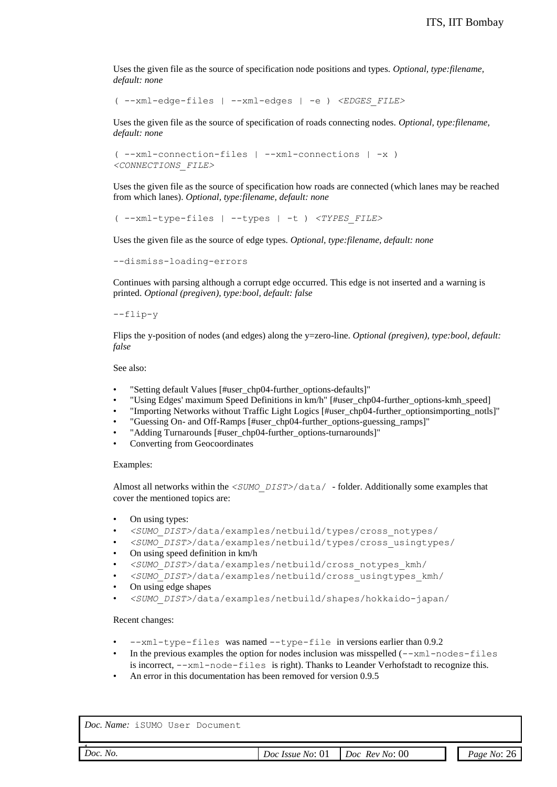Uses the given file as the source of specification node positions and types. *Optional, type:filename, default: none*

( --xml-edge-files | --xml-edges | -e ) *<EDGES\_FILE>*

Uses the given file as the source of specification of roads connecting nodes. *Optional, type:filename, default: none*

```
( --xml-connection-files | --xml-connections | -x ) 
<CONNECTIONS_FILE>
```
Uses the given file as the source of specification how roads are connected (which lanes may be reached from which lanes). *Optional, type:filename, default: none*

( --xml-type-files | --types | -t ) *<TYPES\_FILE>*

Uses the given file as the source of edge types. *Optional, type:filename, default: none*

--dismiss-loading-errors

Continues with parsing although a corrupt edge occurred. This edge is not inserted and a warning is printed. *Optional (pregiven), type:bool, default: false*

--flip-y

Flips the y-position of nodes (and edges) along the y=zero-line. *Optional (pregiven), type:bool, default: false*

See also:

- "Setting default Values [#user\_chp04-further\_options-defaults]"
- "Using Edges' maximum Speed Definitions in km/h" [#user\_chp04-further\_options-kmh\_speed]
- "Importing Networks without Traffic Light Logics [#user\_chp04-further\_optionsimporting\_notls]"
- "Guessing On- and Off-Ramps [#user\_chp04-further\_options-guessing\_ramps]"
- "Adding Turnarounds [#user\_chp04-further\_options-turnarounds]"
- Converting from Geocoordinates

#### Examples:

Almost all networks within the *<SUMO\_DIST>*/data/ - folder. Additionally some examples that cover the mentioned topics are:

- On using types:
- *<SUMO\_DIST>*/data/examples/netbuild/types/cross\_notypes/
- *<SUMO\_DIST>*/data/examples/netbuild/types/cross\_usingtypes/
- On using speed definition in km/h
- *<SUMO\_DIST>*/data/examples/netbuild/cross\_notypes\_kmh/
- *<SUMO\_DIST>*/data/examples/netbuild/cross\_usingtypes\_kmh/
- On using edge shapes
- *<SUMO\_DIST>*/data/examples/netbuild/shapes/hokkaido-japan/

#### Recent changes:

- --xml-type-files was named --type-file in versions earlier than 0.9.2
- In the previous examples the option for nodes inclusion was misspelled  $(-xm1-nodes-files)$ is incorrect, --xml-node-files is right). Thanks to Leander Verhofstadt to recognize this.
- An error in this documentation has been removed for version 0.9.5

| 0 <sup>0</sup><br>Doc.<br>No.<br><i><b>Rev</b></i><br>No:<br>No:<br>Doc<br><i>Issue</i><br>$N$ O'<br>$\alpha$ ge i<br>Doc<br>v. |  |  |  |
|---------------------------------------------------------------------------------------------------------------------------------|--|--|--|
|                                                                                                                                 |  |  |  |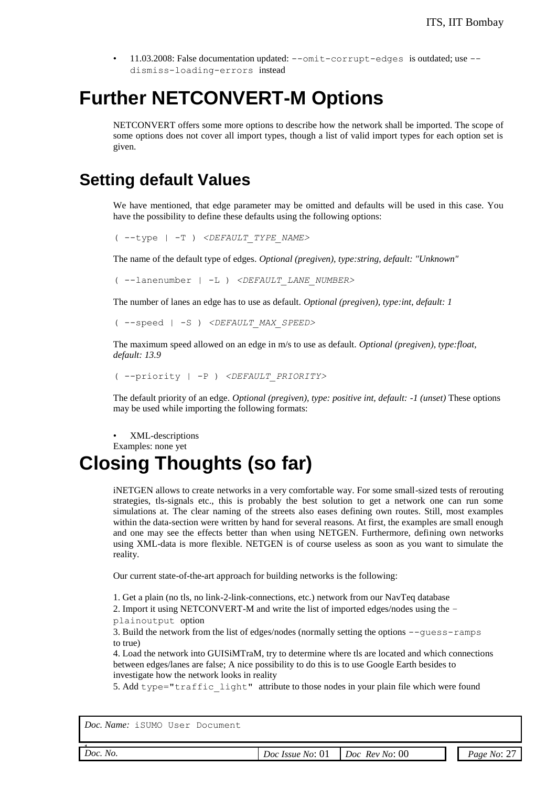• 11.03.2008: False documentation updated:  $--$ omit-corrupt-edges is outdated; use  $-$ dismiss-loading-errors instead

## **Further NETCONVERT-M Options**

NETCONVERT offers some more options to describe how the network shall be imported. The scope of some options does not cover all import types, though a list of valid import types for each option set is given.

### **Setting default Values**

We have mentioned, that edge parameter may be omitted and defaults will be used in this case. You have the possibility to define these defaults using the following options:

( --type | -T ) *<DEFAULT\_TYPE\_NAME>*

The name of the default type of edges. *Optional (pregiven), type:string, default: "Unknown"*

( --lanenumber | -L ) *<DEFAULT\_LANE\_NUMBER>*

The number of lanes an edge has to use as default. *Optional (pregiven), type:int, default: 1*

```
( --speed | -S ) <DEFAULT_MAX_SPEED>
```
The maximum speed allowed on an edge in m/s to use as default. *Optional (pregiven), type:float, default: 13.9*

```
( --priority | -P ) <DEFAULT_PRIORITY>
```
The default priority of an edge. *Optional (pregiven), type: positive int, default: -1 (unset)* These options may be used while importing the following formats:

• XML-descriptions Examples: none yet

## **Closing Thoughts (so far)**

iNETGEN allows to create networks in a very comfortable way. For some small-sized tests of rerouting strategies, tls-signals etc., this is probably the best solution to get a network one can run some simulations at. The clear naming of the streets also eases defining own routes. Still, most examples within the data-section were written by hand for several reasons. At first, the examples are small enough and one may see the effects better than when using NETGEN. Furthermore, defining own networks using XML-data is more flexible. NETGEN is of course useless as soon as you want to simulate the reality.

Our current state-of-the-art approach for building networks is the following:

1. Get a plain (no tls, no link-2-link-connections, etc.) network from our NavTeq database

2. Import it using NETCONVERT-M and write the list of imported edges/nodes using the –

plainoutput option

3. Build the network from the list of edges/nodes (normally setting the options --guess-ramps to true)

4. Load the network into GUISiMTraM, try to determine where tls are located and which connections between edges/lanes are false; A nice possibility to do this is to use Google Earth besides to investigate how the network looks in reality

5. Add type="traffic\_light" attribute to those nodes in your plain file which were found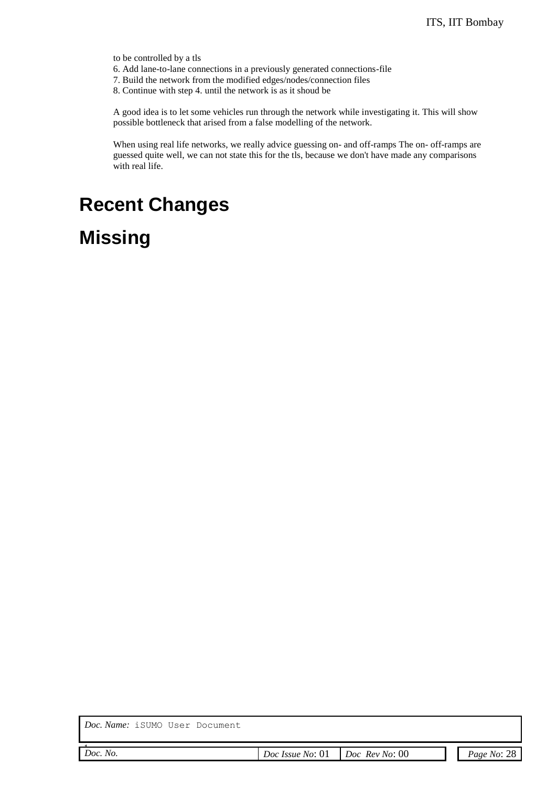to be controlled by a tls

- 6. Add lane-to-lane connections in a previously generated connections-file
- 7. Build the network from the modified edges/nodes/connection files

8. Continue with step 4. until the network is as it shoud be

A good idea is to let some vehicles run through the network while investigating it. This will show possible bottleneck that arised from a false modelling of the network.

When using real life networks, we really advice guessing on- and off-ramps The on- off-ramps are guessed quite well, we can not state this for the tls, because we don't have made any comparisons with real life.

## **Recent Changes**

## **Missing**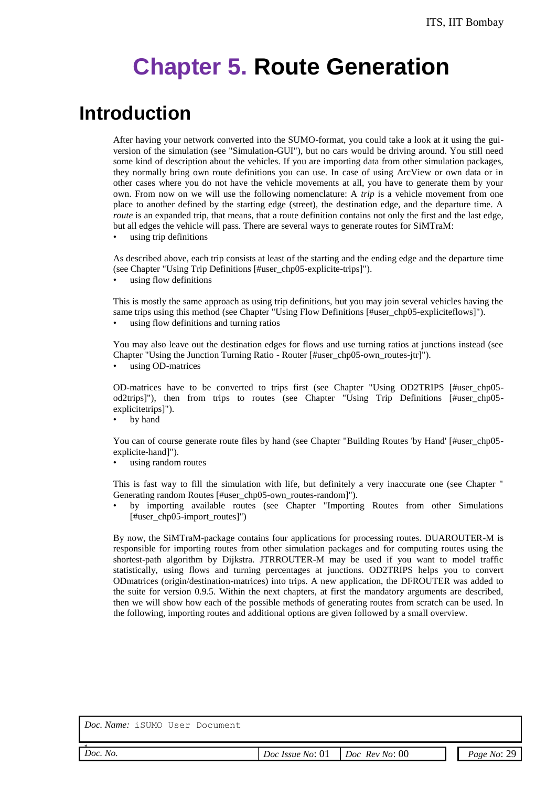# **Chapter 5. Route Generation**

## **Introduction**

After having your network converted into the SUMO-format, you could take a look at it using the guiversion of the simulation (see "Simulation-GUI"), but no cars would be driving around. You still need some kind of description about the vehicles. If you are importing data from other simulation packages, they normally bring own route definitions you can use. In case of using ArcView or own data or in other cases where you do not have the vehicle movements at all, you have to generate them by your own. From now on we will use the following nomenclature: A *trip* is a vehicle movement from one place to another defined by the starting edge (street), the destination edge, and the departure time. A *route* is an expanded trip, that means, that a route definition contains not only the first and the last edge, but all edges the vehicle will pass. There are several ways to generate routes for SiMTraM:

• using trip definitions

As described above, each trip consists at least of the starting and the ending edge and the departure time (see Chapter "Using Trip Definitions [#user\_chp05-explicite-trips]").

using flow definitions

This is mostly the same approach as using trip definitions, but you may join several vehicles having the same trips using this method (see Chapter "Using Flow Definitions [#user\_chp05-expliciteflows]").

using flow definitions and turning ratios

You may also leave out the destination edges for flows and use turning ratios at junctions instead (see Chapter "Using the Junction Turning Ratio - Router [#user\_chp05-own\_routes-jtr]").

using OD-matrices

OD-matrices have to be converted to trips first (see Chapter "Using OD2TRIPS [#user\_chp05 od2trips]"), then from trips to routes (see Chapter "Using Trip Definitions [#user\_chp05 explicitetrips]").

• by hand

You can of course generate route files by hand (see Chapter "Building Routes 'by Hand' [#user\_chp05explicite-hand]").

using random routes

This is fast way to fill the simulation with life, but definitely a very inaccurate one (see Chapter " Generating random Routes [#user\_chp05-own\_routes-random]").

• by importing available routes (see Chapter "Importing Routes from other Simulations [#user\_chp05-import\_routes]")

By now, the SiMTraM-package contains four applications for processing routes. DUAROUTER-M is responsible for importing routes from other simulation packages and for computing routes using the shortest-path algorithm by Dijkstra. JTRROUTER-M may be used if you want to model traffic statistically, using flows and turning percentages at junctions. OD2TRIPS helps you to convert ODmatrices (origin/destination-matrices) into trips. A new application, the DFROUTER was added to the suite for version 0.9.5. Within the next chapters, at first the mandatory arguments are described, then we will show how each of the possible methods of generating routes from scratch can be used. In the following, importing routes and additional options are given followed by a small overview.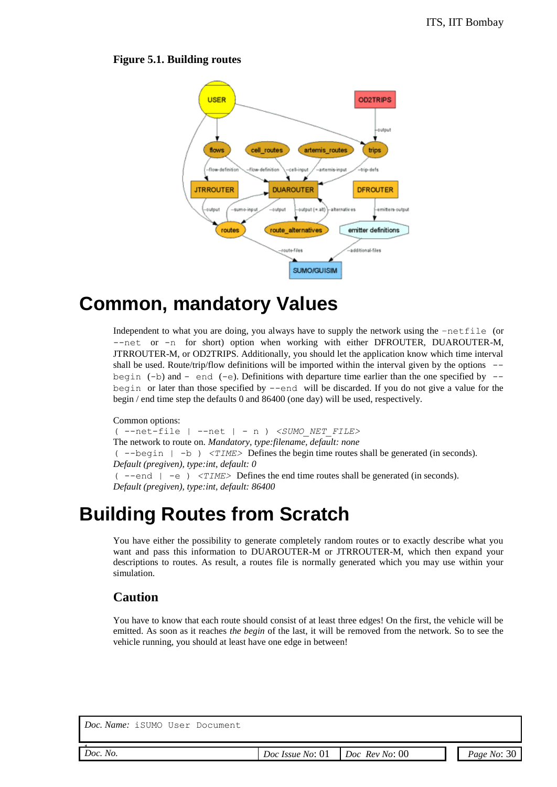#### **Figure 5.1. Building routes**



## **Common, mandatory Values**

Independent to what you are doing, you always have to supply the network using the –netfile (or --net or -n for short) option when working with either DFROUTER, DUAROUTER-M, JTRROUTER-M, or OD2TRIPS. Additionally, you should let the application know which time interval shall be used. Route/trip/flow definitions will be imported within the interval given by the options  $$ begin (-b) and - end (-e). Definitions with departure time earlier than the one specified by  $$ begin or later than those specified by  $-$ -end will be discarded. If you do not give a value for the begin / end time step the defaults 0 and 86400 (one day) will be used, respectively.

Common options: ( --net-file | --net | - n ) *<SUMO\_NET\_FILE>* The network to route on. *Mandatory, type:filename, default: none* ( --begin | -b ) *<TIME>* Defines the begin time routes shall be generated (in seconds). *Default (pregiven), type:int, default: 0* ( --end | -e ) *<TIME>* Defines the end time routes shall be generated (in seconds). *Default (pregiven), type:int, default: 86400*

## **Building Routes from Scratch**

You have either the possibility to generate completely random routes or to exactly describe what you want and pass this information to DUAROUTER-M or JTRROUTER-M, which then expand your descriptions to routes. As result, a routes file is normally generated which you may use within your simulation.

#### **Caution**

You have to know that each route should consist of at least three edges! On the first, the vehicle will be emitted. As soon as it reaches *the begin* of the last, it will be removed from the network. So to see the vehicle running, you should at least have one edge in between!

| $ac_{\perp}$ $\sim$ | $\epsilon$ |
|---------------------|------------|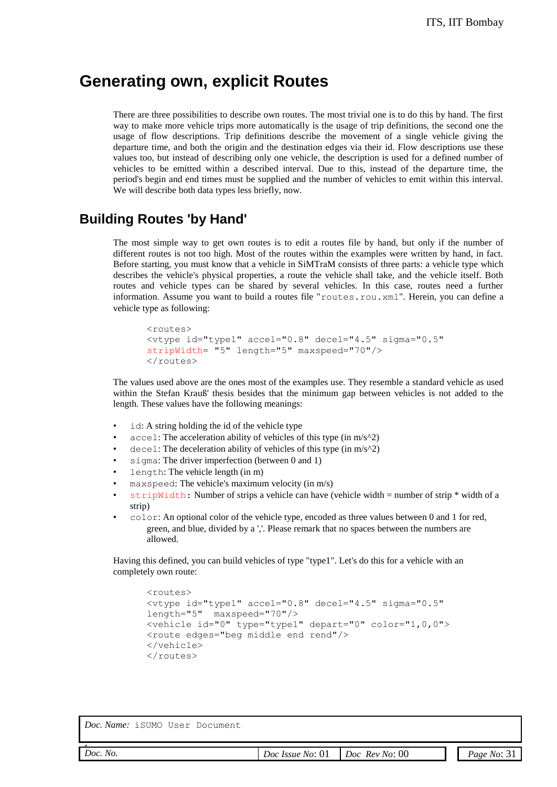### **Generating own, explicit Routes**

There are three possibilities to describe own routes. The most trivial one is to do this by hand. The first way to make more vehicle trips more automatically is the usage of trip definitions, the second one the usage of flow descriptions. Trip definitions describe the movement of a single vehicle giving the departure time, and both the origin and the destination edges via their id. Flow descriptions use these values too, but instead of describing only one vehicle, the description is used for a defined number of vehicles to be emitted within a described interval. Due to this, instead of the departure time, the period's begin and end times must be supplied and the number of vehicles to emit within this interval. We will describe both data types less briefly, now.

#### **Building Routes 'by Hand'**

The most simple way to get own routes is to edit a routes file by hand, but only if the number of different routes is not too high. Most of the routes within the examples were written by hand, in fact. Before starting, you must know that a vehicle in SiMTraM consists of three parts: a vehicle type which describes the vehicle's physical properties, a route the vehicle shall take, and the vehicle itself. Both routes and vehicle types can be shared by several vehicles. In this case, routes need a further information. Assume you want to build a routes file "routes.rou.xml". Herein, you can define a vehicle type as following:

```
<routes>
<vtype id="type1" accel="0.8" decel="4.5" sigma="0.5" 
stripWidth= "5" length="5" maxspeed="70"/>
</routes>
```
The values used above are the ones most of the examples use. They resemble a standard vehicle as used within the Stefan Krauß' thesis besides that the minimum gap between vehicles is not added to the length. These values have the following meanings:

- id: A string holding the id of the vehicle type
- accel: The acceleration ability of vehicles of this type (in  $m/s^2$ )
- decel: The deceleration ability of vehicles of this type (in m/s^2)
- sigma: The driver imperfection (between 0 and 1)
- length: The vehicle length (in m)
- $maxspeed$ : The vehicle's maximum velocity (in m/s)
- stripWidth: Number of strips a vehicle can have (vehicle width  $=$  number of strip  $*$  width of a strip)
- color: An optional color of the vehicle type, encoded as three values between 0 and 1 for red, green, and blue, divided by a ','. Please remark that no spaces between the numbers are allowed.

Having this defined, you can build vehicles of type "type1". Let's do this for a vehicle with an completely own route:

```
<routes>
<vtype id="type1" accel="0.8" decel="4.5" sigma="0.5" 
length="5" maxspeed="70"/>
<vehicle id="0" type="type1" depart="0" color="1,0,0">
<route edges="beg middle end rend"/>
</vehicle>
</routes>
```

| Doc.<br>No. | . .<br>No:<br><i>Issue</i><br>90c<br>J! | 00<br>Doc<br><i><b>Rev</b></i><br>No:<br>$ -$ | Page<br>Nο<br>ັ |
|-------------|-----------------------------------------|-----------------------------------------------|-----------------|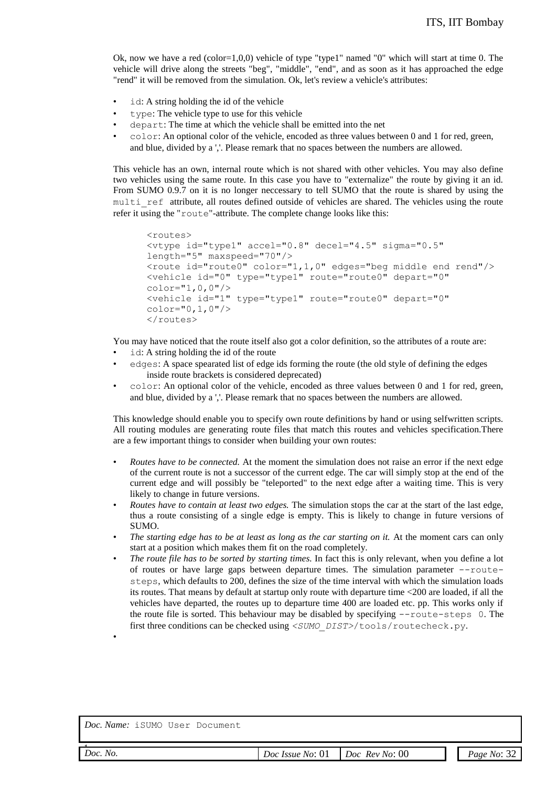Ok, now we have a red  $(color=1,0,0)$  vehicle of type "type1" named "0" which will start at time 0. The vehicle will drive along the streets "beg", "middle", "end", and as soon as it has approached the edge "rend" it will be removed from the simulation. Ok, let's review a vehicle's attributes:

- id: A string holding the id of the vehicle
- type: The vehicle type to use for this vehicle
- depart: The time at which the vehicle shall be emitted into the net
- color: An optional color of the vehicle, encoded as three values between 0 and 1 for red, green, and blue, divided by a ','. Please remark that no spaces between the numbers are allowed.

This vehicle has an own, internal route which is not shared with other vehicles. You may also define two vehicles using the same route. In this case you have to "externalize" the route by giving it an id. From SUMO 0.9.7 on it is no longer neccessary to tell SUMO that the route is shared by using the multi ref attribute, all routes defined outside of vehicles are shared. The vehicles using the route refer it using the "route"-attribute. The complete change looks like this:

```
<routes>
<vtype id="type1" accel="0.8" decel="4.5" sigma="0.5" 
length="5" maxspeed="70"/>
<route id="route0" color="1,1,0" edges="beg middle end rend"/>
<vehicle id="0" type="type1" route="route0" depart="0" 
color="1,0,0"/>
<vehicle id="1" type="type1" route="route0" depart="0" 
color="0,1,0"/>
</routes>
```
You may have noticed that the route itself also got a color definition, so the attributes of a route are:

- id: A string holding the id of the route
- edges: A space spearated list of edge ids forming the route (the old style of defining the edges inside route brackets is considered deprecated)
- color: An optional color of the vehicle, encoded as three values between 0 and 1 for red, green, and blue, divided by a ','. Please remark that no spaces between the numbers are allowed.

This knowledge should enable you to specify own route definitions by hand or using selfwritten scripts. All routing modules are generating route files that match this routes and vehicles specification.There are a few important things to consider when building your own routes:

- *Routes have to be connected.* At the moment the simulation does not raise an error if the next edge of the current route is not a successor of the current edge. The car will simply stop at the end of the current edge and will possibly be "teleported" to the next edge after a waiting time. This is very likely to change in future versions.
- *Routes have to contain at least two edges.* The simulation stops the car at the start of the last edge, thus a route consisting of a single edge is empty. This is likely to change in future versions of SUMO.
- The starting edge has to be at least as long as the car starting on it. At the moment cars can only start at a position which makes them fit on the road completely.
- *The route file has to be sorted by starting times.* In fact this is only relevant, when you define a lot of routes or have large gaps between departure times. The simulation parameter  $--$ routesteps, which defaults to 200, defines the size of the time interval with which the simulation loads its routes. That means by default at startup only route with departure time <200 are loaded, if all the vehicles have departed, the routes up to departure time 400 are loaded etc. pp. This works only if the route file is sorted. This behaviour may be disabled by specifying --route-steps 0. The first three conditions can be checked using *<SUMO\_DIST>*/tools/routecheck.py.

*Doc. Name:* iSUMO User Document

•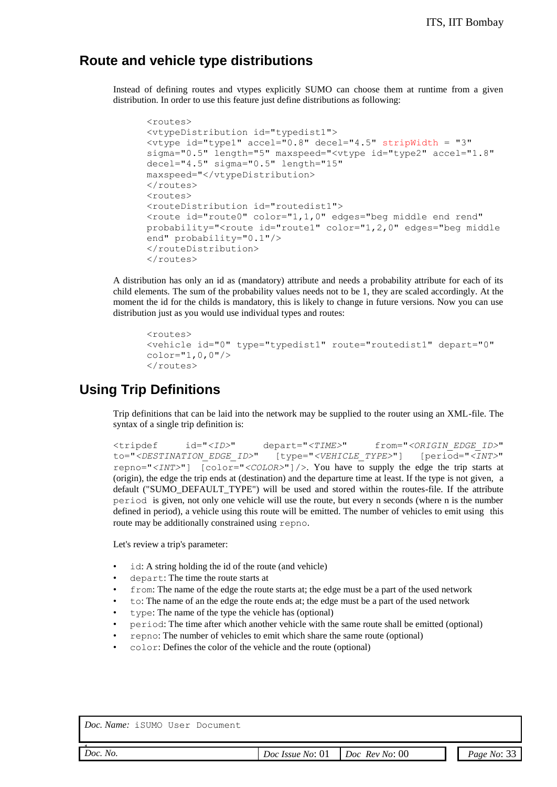#### **Route and vehicle type distributions**

Instead of defining routes and vtypes explicitly SUMO can choose them at runtime from a given distribution. In order to use this feature just define distributions as following:

```
<routes>
<vtypeDistribution id="typedist1">
<vtype id="type1" accel="0.8" decel="4.5" stripWidth = "3" 
sigma="0.5" length="5" maxspeed="<vtype id="type2" accel="1.8" 
decel="4.5" sigma="0.5" length="15" 
maxspeed="</vtypeDistribution>
</routes>
<routes>
<routeDistribution id="routedist1">
<route id="route0" color="1,1,0" edges="beg middle end rend" 
probability="<route id="route1" color="1,2,0" edges="beg middle
end" probability="0.1"/>
</routeDistribution>
</routes>
```
A distribution has only an id as (mandatory) attribute and needs a probability attribute for each of its child elements. The sum of the probability values needs not to be 1, they are scaled accordingly. At the moment the id for the childs is mandatory, this is likely to change in future versions. Now you can use distribution just as you would use individual types and routes:

```
<routes>
<vehicle id="0" type="typedist1" route="routedist1" depart="0" 
color="1,0,0"/>
</routes>
```
#### **Using Trip Definitions**

Trip definitions that can be laid into the network may be supplied to the router using an XML-file. The syntax of a single trip definition is:

```
<tripdef id="<ID>" depart="<TIME>" from="<ORIGIN_EDGE_ID>" 
to="<DESTINATION_EDGE_ID>" [type="<VEHICLE_TYPE>"] [period="<INT>" 
repno="<INT>"] [color="<COLOR>"]/>. You have to supply the edge the trip starts at
(origin), the edge the trip ends at (destination) and the departure time at least. If the type is not given, a 
default ("SUMO_DEFAULT_TYPE") will be used and stored within the routes-file. If the attribute
period is given, not only one vehicle will use the route, but every n seconds (where n is the number
defined in period), a vehicle using this route will be emitted. The number of vehicles to emit using this 
route may be additionally constrained using repno.
```
Let's review a trip's parameter:

- id: A string holding the id of the route (and vehicle)
- depart: The time the route starts at
- from: The name of the edge the route starts at; the edge must be a part of the used network
- to: The name of an the edge the route ends at; the edge must be a part of the used network
- type: The name of the type the vehicle has (optional)
- period: The time after which another vehicle with the same route shall be emitted (optional)
- repno: The number of vehicles to emit which share the same route (optional)
- color: Defines the color of the vehicle and the route (optional)

| Doc. Name: iSUMO User Document |                                               |             |
|--------------------------------|-----------------------------------------------|-------------|
| Doc. No.                       | <i>Doc Issue No:</i> 01 <i>Doc Rev No:</i> 00 | Page No: 33 |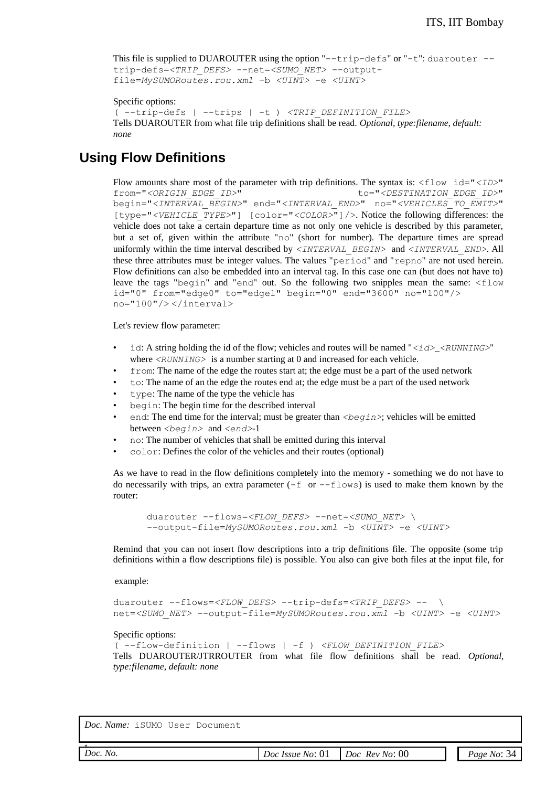```
This file is supplied to DUAROUTER using the option "--trip-defs" or "-t": duarouter -trip-defs=<TRIP_DEFS> --net=<SUMO_NET> --output-
file=MySUMORoutes.rou.xml –b <UINT> -e <UINT>
Specific options:
( --trip-defs | --trips | -t ) <TRIP_DEFINITION_FILE>
Tells DUAROUTER from what file trip definitions shall be read. Optional, type:filename, default: 
none
```
### **Using Flow Definitions**

Flow amounts share most of the parameter with trip definitions. The syntax is:  $\langle$ flow id=" $\langle$ *ID>*" from="*<ORIGIN\_EDGE\_ID>*" to="*<DESTINATION\_EDGE\_ID>*" begin="*<INTERVAL\_BEGIN>*" end="*<INTERVAL\_END>*" no="*<VEHICLES\_TO\_EMIT>*" [type="*<VEHICLE\_TYPE>*"] [color="*<COLOR>*"]/>. Notice the following differences: the vehicle does not take a certain departure time as not only one vehicle is described by this parameter, but a set of, given within the attribute "no" (short for number). The departure times are spread uniformly within the time interval described by *<INTERVAL\_BEGIN>* and *<INTERVAL\_END>*. All these three attributes must be integer values. The values "period" and "repno" are not used herein. Flow definitions can also be embedded into an interval tag. In this case one can (but does not have to) leave the tags "begin" and "end" out. So the following two snipples mean the same: <flow id="0" from="edge0" to="edge1" begin="0" end="3600" no="100"/> no="100"/> </interval>

Let's review flow parameter:

- id: A string holding the id of the flow; vehicles and routes will be named " $\langle \angle i \, d \rangle$   $\langle \angle RUNNING \rangle$ " where *<RUNNING>* is a number starting at 0 and increased for each vehicle.
- from: The name of the edge the routes start at; the edge must be a part of the used network
- to: The name of an the edge the routes end at; the edge must be a part of the used network
- type: The name of the type the vehicle has
- begin: The begin time for the described interval
- end: The end time for the interval; must be greater than  $\langle begin \rangle$ ; vehicles will be emitted between *<begin>* and *<end>*-1
- no: The number of vehicles that shall be emitted during this interval
- color: Defines the color of the vehicles and their routes (optional)

As we have to read in the flow definitions completely into the memory - something we do not have to do necessarily with trips, an extra parameter  $(-f \text{ or } -f \text{rows})$  is used to make them known by the router:

```
duarouter --flows=<FLOW_DEFS> --net=<SUMO_NET> \
--output-file=MySUMORoutes.rou.xml -b <UINT> -e <UINT>
```
Remind that you can not insert flow descriptions into a trip definitions file. The opposite (some trip definitions within a flow descriptions file) is possible. You also can give both files at the input file, for

example:

```
duarouter --flows=<FLOW_DEFS> --trip-defs=<TRIP_DEFS> -- \
net=<SUMO_NET> --output-file=MySUMORoutes.rou.xml -b <UINT> -e <UINT>
```
Specific options:

```
( --flow-definition | --flows | -f ) <FLOW_DEFINITION_FILE>
Tells DUAROUTER/JTRROUTER from what file flow definitions shall be read. Optional, 
type:filename, default: none
```

| Hoc N | $\Omega$ |
|-------|----------|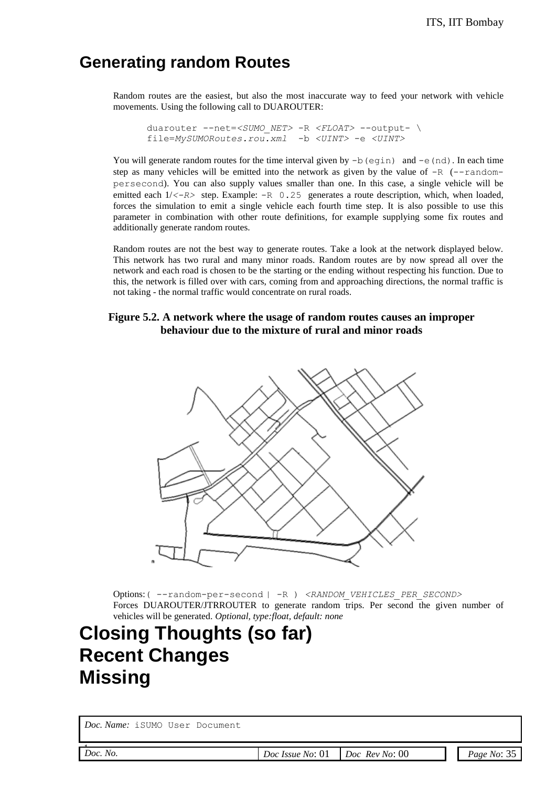### **Generating random Routes**

Random routes are the easiest, but also the most inaccurate way to feed your network with vehicle movements. Using the following call to DUAROUTER:

duarouter --net=*<SUMO\_NET>* -R *<FLOAT>* --output- \ file=*MySUMORoutes.rou.xml* -b *<UINT>* -e *<UINT>*

You will generate random routes for the time interval given by  $-b$  (eqin) and  $-e$  (nd). In each time step as many vehicles will be emitted into the network as given by the value of  $-R$  ( $-$ randompersecond). You can also supply values smaller than one. In this case, a single vehicle will be emitted each  $1/<-R>$  step. Example:  $-R$  0.25 generates a route description, which, when loaded, forces the simulation to emit a single vehicle each fourth time step. It is also possible to use this parameter in combination with other route definitions, for example supplying some fix routes and additionally generate random routes.

Random routes are not the best way to generate routes. Take a look at the network displayed below. This network has two rural and many minor roads. Random routes are by now spread all over the network and each road is chosen to be the starting or the ending without respecting his function. Due to this, the network is filled over with cars, coming from and approaching directions, the normal traffic is not taking - the normal traffic would concentrate on rural roads.

#### **Figure 5.2. A network where the usage of random routes causes an improper behaviour due to the mixture of rural and minor roads**



Options: ( --random-per-second | -R ) <RANDOM\_VEHICLES\_PER\_SECOND> Forces DUAROUTER/JTRROUTER to generate random trips. Per second the given number of vehicles will be generated. *Optional, type:float, default: none*

## **Closing Thoughts (so far) Recent Changes Missing**

*Doc. Name:* iSUMO User Document

*Doc. No.*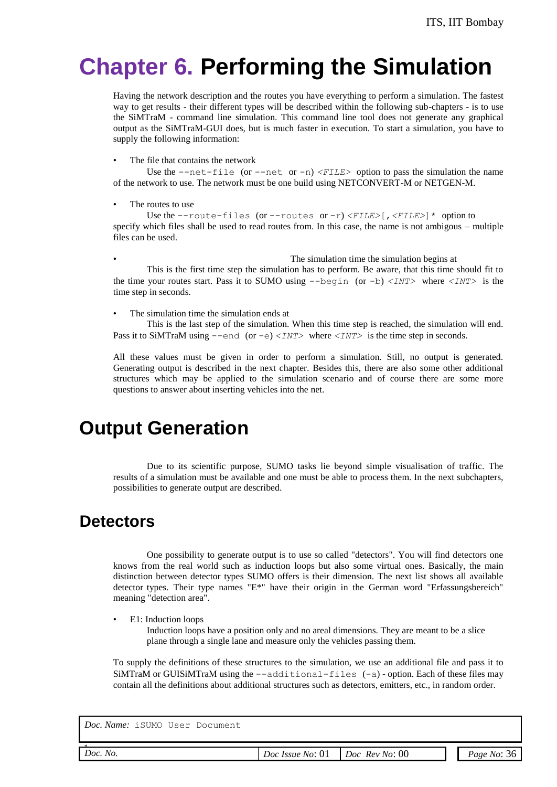# **Chapter 6. Performing the Simulation**

Having the network description and the routes you have everything to perform a simulation. The fastest way to get results - their different types will be described within the following sub-chapters - is to use the SiMTraM - command line simulation. This command line tool does not generate any graphical output as the SiMTraM-GUI does, but is much faster in execution. To start a simulation, you have to supply the following information:

The file that contains the network

Use the  $-\text{net}-\text{file}$  (or  $-\text{net}$  or  $-\text{n}$ )  $\leq$  *FILE*> option to pass the simulation the name of the network to use. The network must be one build using NETCONVERT-M or NETGEN-M.

The routes to use

Use the  $--\text{route-files}$  (or  $--\text{routers}$  or  $-r$ ) *<FILE>*[, *<FILE>*]  $*$  option to specify which files shall be used to read routes from. In this case, the name is not ambigous – multiple files can be used.

• The simulation time the simulation begins at  $\blacksquare$ This is the first time step the simulation has to perform. Be aware, that this time should fit to the time your routes start. Pass it to SUMO using --begin (or -b) *<INT>* where *<INT>* is the time step in seconds.

The simulation time the simulation ends at

This is the last step of the simulation. When this time step is reached, the simulation will end. Pass it to SiMTraM using  $--$ end (or  $-e$ )  $\langle INT \rangle$  where  $\langle INT \rangle$  is the time step in seconds.

All these values must be given in order to perform a simulation. Still, no output is generated. Generating output is described in the next chapter. Besides this, there are also some other additional structures which may be applied to the simulation scenario and of course there are some more questions to answer about inserting vehicles into the net.

## **Output Generation**

Due to its scientific purpose, SUMO tasks lie beyond simple visualisation of traffic. The results of a simulation must be available and one must be able to process them. In the next subchapters, possibilities to generate output are described.

### **Detectors**

One possibility to generate output is to use so called "detectors". You will find detectors one knows from the real world such as induction loops but also some virtual ones. Basically, the main distinction between detector types SUMO offers is their dimension. The next list shows all available detector types. Their type names " $E^*$ " have their origin in the German word "Erfassungsbereich" meaning "detection area".

• E1: Induction loops

Induction loops have a position only and no areal dimensions. They are meant to be a slice plane through a single lane and measure only the vehicles passing them.

To supply the definitions of these structures to the simulation, we use an additional file and pass it to SiMTraM or GUISiMTraM using the  $-$ -additional-files  $(-a)$ -option. Each of these files may contain all the definitions about additional structures such as detectors, emitters, etc., in random order.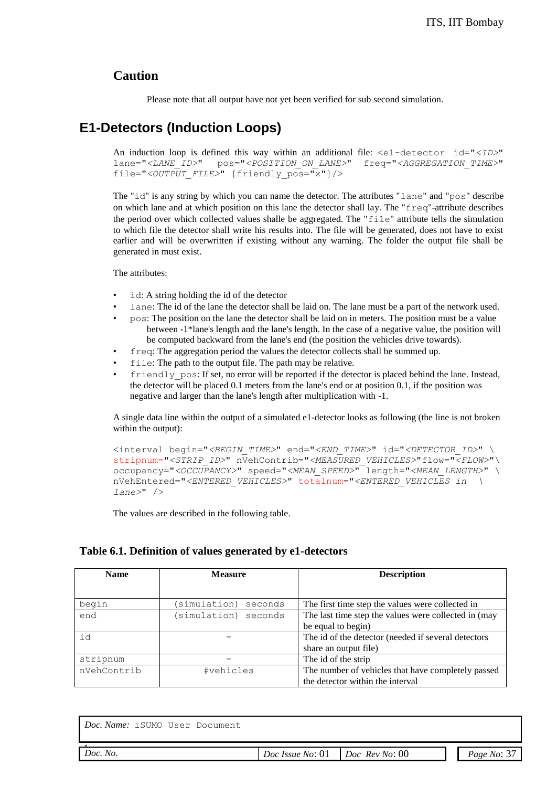#### **Caution**

Please note that all output have not yet been verified for sub second simulation.

### **E1-Detectors (Induction Loops)**

An induction loop is defined this way within an additional file: <e1-detector id="*<ID>*" lane="*<LANE\_ID>*" pos="*<POSITION\_ON\_LANE>*" freq="*<AGGREGATION\_TIME>*" file="*<OUTPUT\_FILE>*" [friendly\_pos="x"]/>

The "id" is any string by which you can name the detector. The attributes "lane" and "pos" describe on which lane and at which position on this lane the detector shall lay. The "freq"-attribute describes the period over which collected values shalle be aggregated. The "file" attribute tells the simulation to which file the detector shall write his results into. The file will be generated, does not have to exist earlier and will be overwritten if existing without any warning. The folder the output file shall be generated in must exist.

The attributes:

- id: A string holding the id of the detector
- lane: The id of the lane the detector shall be laid on. The lane must be a part of the network used.
- pos: The position on the lane the detector shall be laid on in meters. The position must be a value between -1\*lane's length and the lane's length. In the case of a negative value, the position will be computed backward from the lane's end (the position the vehicles drive towards).
- freq: The aggregation period the values the detector collects shall be summed up.
- file: The path to the output file. The path may be relative.
- friendly  $pos:$  If set, no error will be reported if the detector is placed behind the lane. Instead, the detector will be placed 0.1 meters from the lane's end or at position 0.1, if the position was negative and larger than the lane's length after multiplication with -1.

A single data line within the output of a simulated e1-detector looks as following (the line is not broken within the output):

```
<interval begin="<BEGIN_TIME>" end="<END_TIME>" id="<DETECTOR_ID>" \
stripnum="<STRIP_ID>" nVehContrib="<MEASURED_VEHICLES>"flow="<FLOW>"\
occupancy="<OCCUPANCY>" speed="<MEAN_SPEED>" length="<MEAN_LENGTH>" \
nVehEntered="<ENTERED_VEHICLES>" totalnum="<ENTERED_VEHICLES in \
lane>" />
```
The values are described in the following table.

#### **Table 6.1. Definition of values generated by e1-detectors**

| <b>Name</b> | <b>Measure</b>         | <b>Description</b>                                   |
|-------------|------------------------|------------------------------------------------------|
|             |                        |                                                      |
| begin       | simulation)<br>seconds | The first time step the values were collected in     |
| end         | simulation) seconds    | The last time step the values were collected in (may |
|             |                        | be equal to begin)                                   |
| id          |                        | The id of the detector (needed if several detectors) |
|             |                        | share an output file)                                |
| stripnum    |                        | The id of the strip                                  |
| nVehContrib | #vehicles              | The number of vehicles that have completely passed   |
|             |                        | the detector within the interval                     |

| $\sim$<br>00<br>Doc.<br>No.<br>Kev<br>No:<br>No:<br>Doc<br>Page<br>Doc<br>Issue<br>$N_{O}$<br>.<br>__<br>. |  |  |  |
|------------------------------------------------------------------------------------------------------------|--|--|--|
|                                                                                                            |  |  |  |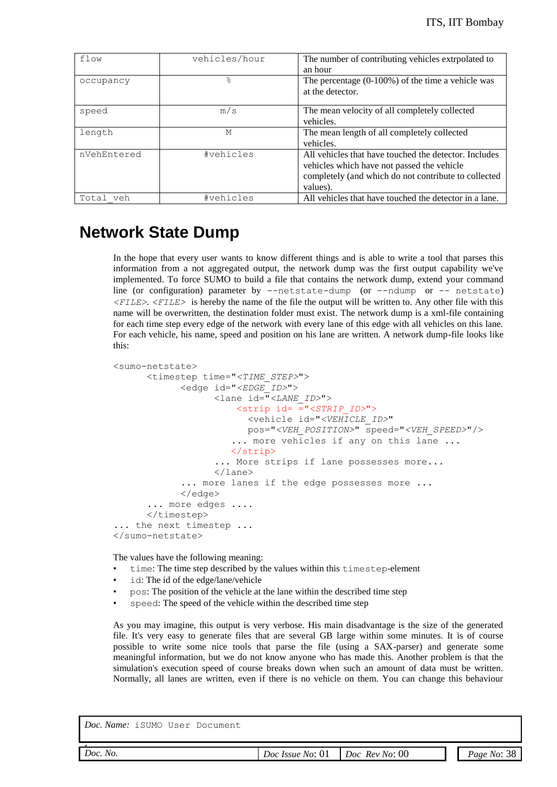| flow         | vehicles/hour | The number of contributing vehicles extroplated to<br>an hour                                                                                                           |
|--------------|---------------|-------------------------------------------------------------------------------------------------------------------------------------------------------------------------|
| occupancy    | ⊱             | The percentage $(0.100\%)$ of the time a vehicle was<br>at the detector.                                                                                                |
| speed        | m/s           | The mean velocity of all completely collected<br>vehicles.                                                                                                              |
| length       | M             | The mean length of all completely collected<br>vehicles.                                                                                                                |
| nVehEntered  | #vehicles     | All vehicles that have touched the detector. Includes<br>vehicles which have not passed the vehicle<br>completely (and which do not contribute to collected<br>values). |
| Total<br>veh | #vehicles     | All vehicles that have touched the detector in a lane.                                                                                                                  |

### **Network State Dump**

In the hope that every user wants to know different things and is able to write a tool that parses this information from a not aggregated output, the network dump was the first output capability we've implemented. To force SUMO to build a file that contains the network dump, extend your command line (or configuration) parameter by --netstate-dump (or --ndump or -- netstate) *<FILE>*. *<FILE>* is hereby the name of the file the output will be written to. Any other file with this name will be overwritten, the destination folder must exist. The network dump is a xml-file containing for each time step every edge of the network with every lane of this edge with all vehicles on this lane. For each vehicle, his name, speed and position on his lane are written. A network dump-file looks like this:

```
<sumo-netstate>
      <timestep time="<TIME_STEP>">
            <edge id="<EDGE_ID>">
                  <lane id="<LANE_ID>">
                       <strip id= ="<STRIP_ID>"> 
                         <vehicle id="<VEHICLE_ID>" 
                         pos="<VEH_POSITION>" speed="<VEH_SPEED>"/>
                      ... more vehicles if any on this lane ...
                       </strip>
                    ... More strips if lane possesses more... 
                  </lane>
            ... more lanes if the edge possesses more ...
            </edge>
      ... more edges ....
      </timestep>
... the next timestep ...
</sumo-netstate>
```
The values have the following meaning:

- time: The time step described by the values within this timestep-element
- id: The id of the edge/lane/vehicle
- pos: The position of the vehicle at the lane within the described time step
- speed: The speed of the vehicle within the described time step

As you may imagine, this output is very verbose. His main disadvantage is the size of the generated file. It's very easy to generate files that are several GB large within some minutes. It is of course possible to write some nice tools that parse the file (using a SAX-parser) and generate some meaningful information, but we do not know anyone who has made this. Another problem is that the simulation's execution speed of course breaks down when such an amount of data must be written. Normally, all lanes are written, even if there is no vehicle on them. You can change this behaviour

| Doc.<br>No.<br>. | $\sim$<br>No:<br><i>Issue</i><br>Doc<br>U1<br>.<br>___ | $00\,$<br>No:<br><b>Rev</b><br>Doc<br>__<br>$\sim$ | $\gamma$ o<br>Page<br>$N_{\ell}$<br>$\Omega$ |
|------------------|--------------------------------------------------------|----------------------------------------------------|----------------------------------------------|
|                  |                                                        |                                                    |                                              |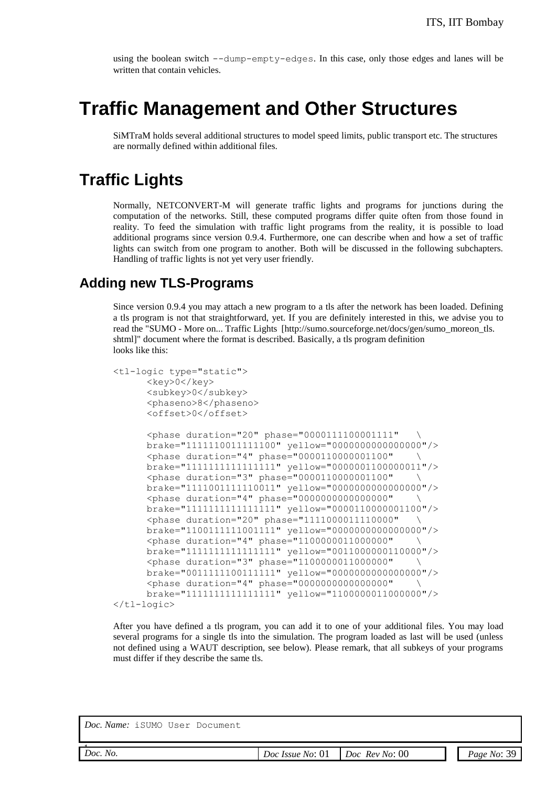using the boolean switch --dump-empty-edges. In this case, only those edges and lanes will be written that contain vehicles.

## **Traffic Management and Other Structures**

SiMTraM holds several additional structures to model speed limits, public transport etc. The structures are normally defined within additional files.

### **Traffic Lights**

Normally, NETCONVERT-M will generate traffic lights and programs for junctions during the computation of the networks. Still, these computed programs differ quite often from those found in reality. To feed the simulation with traffic light programs from the reality, it is possible to load additional programs since version 0.9.4. Furthermore, one can describe when and how a set of traffic lights can switch from one program to another. Both will be discussed in the following subchapters. Handling of traffic lights is not yet very user friendly.

#### **Adding new TLS-Programs**

Since version 0.9.4 you may attach a new program to a tls after the network has been loaded. Defining a tls program is not that straightforward, yet. If you are definitely interested in this, we advise you to read the "SUMO - More on... Traffic Lights [http://sumo.sourceforge.net/docs/gen/sumo\_moreon\_tls. shtml]" document where the format is described. Basically, a tls program definition looks like this:

```
<tl-logic type="static">
      <key>0</key>
      <subkey>0</subkey>
      <phaseno>8</phaseno>
      <offset>0</offset>
      <phase duration="20" phase="0000111100001111" \
      brake="1111110011111100" yellow="0000000000000000"/>
      <phase duration="4" phase="0000110000001100" \
      brake="1111111111111111" yellow="0000001100000011"/>
      <phase duration="3" phase="0000110000001100" \
      brake="1111001111110011" yellow="0000000000000000"/>
      <phase duration="4" phase="0000000000000000" \
      brake="1111111111111111" yellow="0000110000001100"/>
      <phase duration="20" phase="1111000011110000" \
      brake="1100111111001111" yellow="0000000000000000"/>
      <phase duration="4" phase="1100000011000000" \
      brake="1111111111111111" yellow="0011000000110000"/>
      <phase duration="3" phase="1100000011000000" \
      brake="0011111100111111" yellow="0000000000000000"/>
      <phase duration="4" phase="0000000000000000" \
      brake="1111111111111111" yellow="1100000011000000"/>
</tl-logic>
```
After you have defined a tls program, you can add it to one of your additional files. You may load several programs for a single tls into the simulation. The program loaded as last will be used (unless not defined using a WAUT description, see below). Please remark, that all subkeys of your programs must differ if they describe the same tls.

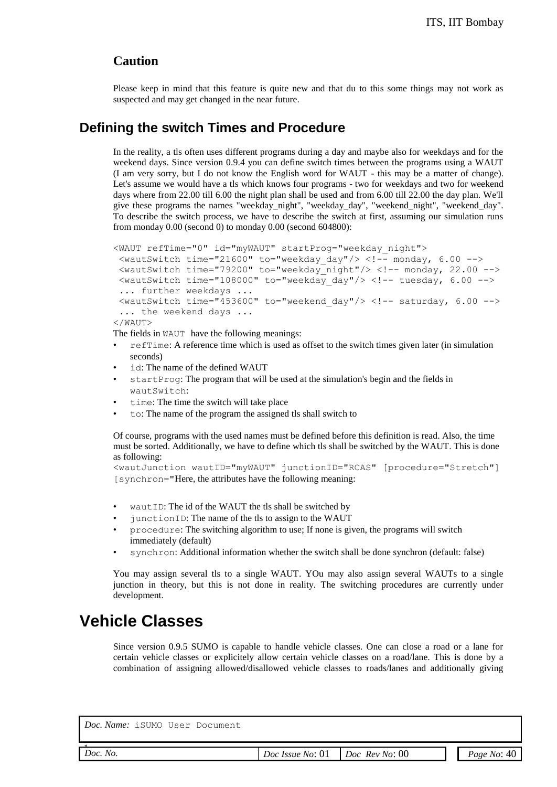#### **Caution**

Please keep in mind that this feature is quite new and that du to this some things may not work as suspected and may get changed in the near future.

#### **Defining the switch Times and Procedure**

In the reality, a tls often uses different programs during a day and maybe also for weekdays and for the weekend days. Since version 0.9.4 you can define switch times between the programs using a WAUT (I am very sorry, but I do not know the English word for WAUT - this may be a matter of change). Let's assume we would have a tls which knows four programs - two for weekdays and two for weekend days where from 22.00 till 6.00 the night plan shall be used and from 6.00 till 22.00 the day plan. We'll give these programs the names "weekday\_night", "weekday\_day", "weekend\_night", "weekend\_day". To describe the switch process, we have to describe the switch at first, assuming our simulation runs from monday 0.00 (second 0) to monday 0.00 (second 604800):

```
<WAUT refTime="0" id="myWAUT" startProg="weekday_night">
 \{\text{wautSwitch time} = "21600" to = "weekday day"}/\ge \langle !-- monday, 6.00 -->
 <wautSwitch time="79200" to="weekday_night"/> <!-- monday, 22.00 -->
  <wautSwitch time="108000" to="weekday_day"/> <!-- tuesday, 6.00 -->
  ... further weekdays ...
 \lewautSwitch time="453600" to="weekend day"/> \le!-- saturday, 6.00 -->
 ... the weekend days ...
</WAUT>
```
The fields in WAUT have the following meanings:

- refTime: A reference time which is used as offset to the switch times given later (in simulation seconds)
- id: The name of the defined WAUT
- startProg: The program that will be used at the simulation's begin and the fields in wautSwitch:
- time: The time the switch will take place
- to: The name of the program the assigned tls shall switch to

Of course, programs with the used names must be defined before this definition is read. Also, the time must be sorted. Additionally, we have to define which tls shall be switched by the WAUT. This is done as following:

```
<wautJunction wautID="myWAUT" junctionID="RCAS" [procedure="Stretch"] 
[synchron="Here, the attributes have the following meaning:
```
- wautID: The id of the WAUT the tls shall be switched by
- junctionID: The name of the tls to assign to the WAUT
- procedure: The switching algorithm to use; If none is given, the programs will switch immediately (default)
- synchron: Additional information whether the switch shall be done synchron (default: false)

You may assign several tls to a single WAUT. YOu may also assign several WAUTs to a single junction in theory, but this is not done in reality. The switching procedures are currently under development.

### **Vehicle Classes**

Since version 0.9.5 SUMO is capable to handle vehicle classes. One can close a road or a lane for certain vehicle classes or explicitely allow certain vehicle classes on a road/lane. This is done by a combination of assigning allowed/disallowed vehicle classes to roads/lanes and additionally giving

| עו יזמנו | $\epsilon$ |
|----------|------------|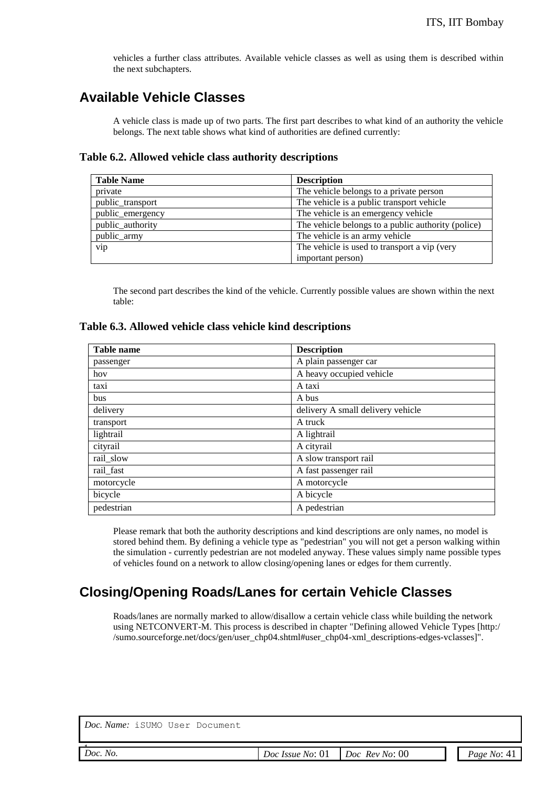vehicles a further class attributes. Available vehicle classes as well as using them is described within the next subchapters.

### **Available Vehicle Classes**

A vehicle class is made up of two parts. The first part describes to what kind of an authority the vehicle belongs. The next table shows what kind of authorities are defined currently:

#### **Table 6.2. Allowed vehicle class authority descriptions**

| <b>Table Name</b> | <b>Description</b>                                 |
|-------------------|----------------------------------------------------|
| private           | The vehicle belongs to a private person            |
| public_transport  | The vehicle is a public transport vehicle          |
| public_emergency  | The vehicle is an emergency vehicle                |
| public authority  | The vehicle belongs to a public authority (police) |
| public_army       | The vehicle is an army vehicle                     |
| vip               | The vehicle is used to transport a vip (very       |
|                   | important person)                                  |

The second part describes the kind of the vehicle. Currently possible values are shown within the next table:

#### **Table 6.3. Allowed vehicle class vehicle kind descriptions**

| <b>Table name</b> | <b>Description</b>                |
|-------------------|-----------------------------------|
| passenger         | A plain passenger car             |
| hov               | A heavy occupied vehicle          |
| taxi              | A taxi                            |
| bus               | A bus                             |
| delivery          | delivery A small delivery vehicle |
| transport         | A truck                           |
| lightrail         | A lightrail                       |
| cityrail          | A cityrail                        |
| rail_slow         | A slow transport rail             |
| rail_fast         | A fast passenger rail             |
| motorcycle        | A motorcycle                      |
| bicycle           | A bicycle                         |
| pedestrian        | A pedestrian                      |

Please remark that both the authority descriptions and kind descriptions are only names, no model is stored behind them. By defining a vehicle type as "pedestrian" you will not get a person walking within the simulation - currently pedestrian are not modeled anyway. These values simply name possible types of vehicles found on a network to allow closing/opening lanes or edges for them currently.

#### **Closing/Opening Roads/Lanes for certain Vehicle Classes**

Roads/lanes are normally marked to allow/disallow a certain vehicle class while building the network using NETCONVERT-M. This process is described in chapter "Defining allowed Vehicle Types [http:/ /sumo.sourceforge.net/docs/gen/user\_chp04.shtml#user\_chp04-xml\_descriptions-edges-vclasses]".

| Doc. Name: iSUMO User Document |                  |                       |               |
|--------------------------------|------------------|-----------------------|---------------|
| Doc. No.                       | Doc Issue No: 01 | <i>Doc Rev No:</i> 00 | Page No: $41$ |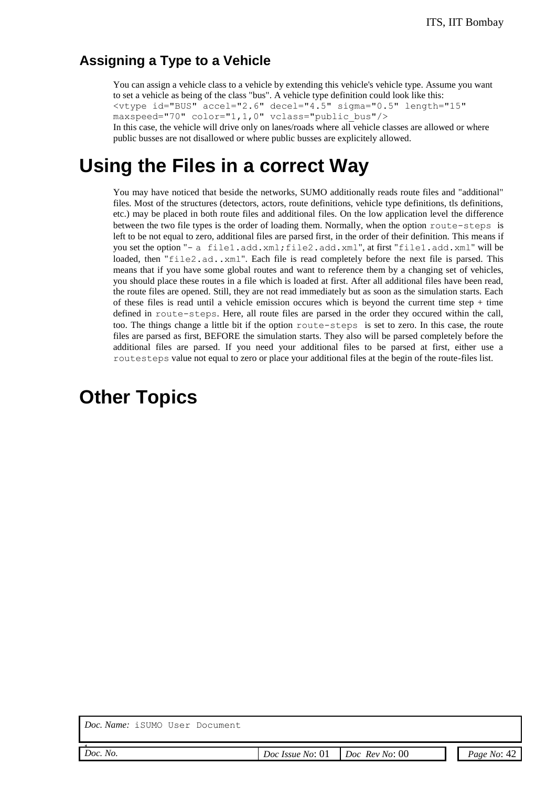#### **Assigning a Type to a Vehicle**

You can assign a vehicle class to a vehicle by extending this vehicle's vehicle type. Assume you want to set a vehicle as being of the class "bus". A vehicle type definition could look like this: <vtype id="BUS" accel="2.6" decel="4.5" sigma="0.5" length="15" maxspeed="70" color="1,1,0" vclass="public\_bus"/> In this case, the vehicle will drive only on lanes/roads where all vehicle classes are allowed or where public busses are not disallowed or where public busses are explicitely allowed.

## **Using the Files in a correct Way**

You may have noticed that beside the networks, SUMO additionally reads route files and "additional" files. Most of the structures (detectors, actors, route definitions, vehicle type definitions, tls definitions, etc.) may be placed in both route files and additional files. On the low application level the difference between the two file types is the order of loading them. Normally, when the option route-steps is left to be not equal to zero, additional files are parsed first, in the order of their definition. This means if you set the option "- a file1.add.xml;file2.add.xml", at first "file1.add.xml" will be loaded, then "file2.ad..xml". Each file is read completely before the next file is parsed. This means that if you have some global routes and want to reference them by a changing set of vehicles, you should place these routes in a file which is loaded at first. After all additional files have been read, the route files are opened. Still, they are not read immediately but as soon as the simulation starts. Each of these files is read until a vehicle emission occures which is beyond the current time step  $+$  time defined in route-steps. Here, all route files are parsed in the order they occured within the call, too. The things change a little bit if the option route-steps is set to zero. In this case, the route files are parsed as first, BEFORE the simulation starts. They also will be parsed completely before the additional files are parsed. If you need your additional files to be parsed at first, either use a routesteps value not equal to zero or place your additional files at the begin of the route-files list.

## **Other Topics**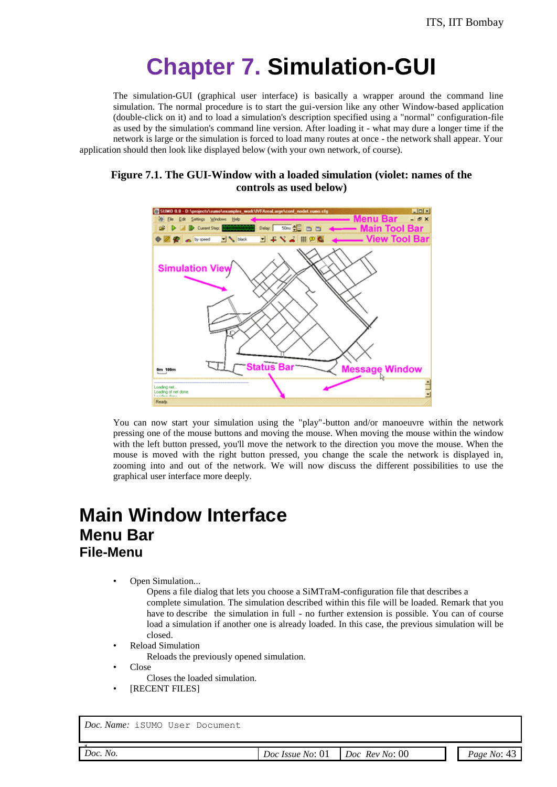# **Chapter 7. Simulation-GUI**

The simulation-GUI (graphical user interface) is basically a wrapper around the command line simulation. The normal procedure is to start the gui-version like any other Window-based application (double-click on it) and to load a simulation's description specified using a "normal" configuration-file as used by the simulation's command line version. After loading it - what may dure a longer time if the network is large or the simulation is forced to load many routes at once - the network shall appear. Your application should then look like displayed below (with your own network, of course).

**Figure 7.1. The GUI-Window with a loaded simulation (violet: names of the controls as used below)**



You can now start your simulation using the "play"-button and/or manoeuvre within the network pressing one of the mouse buttons and moving the mouse. When moving the mouse within the window with the left button pressed, you'll move the network to the direction you move the mouse. When the mouse is moved with the right button pressed, you change the scale the network is displayed in, zooming into and out of the network. We will now discuss the different possibilities to use the graphical user interface more deeply.

## **Main Window Interface Menu Bar File-Menu**

Open Simulation...

Opens a file dialog that lets you choose a SiMTraM-configuration file that describes a complete simulation. The simulation described within this file will be loaded. Remark that you have to describe the simulation in full - no further extension is possible. You can of course load a simulation if another one is already loaded. In this case, the previous simulation will be closed.

- Reload Simulation
	- Reloads the previously opened simulation.
- Close
	- Closes the loaded simulation.
- [RECENT FILES]

*Doc. Name:* iSUMO User Document

*Doc. No.* 

*Doc. No. Doc Issue No*: 01 *Doc Rev No*: 00 *Page No*: 43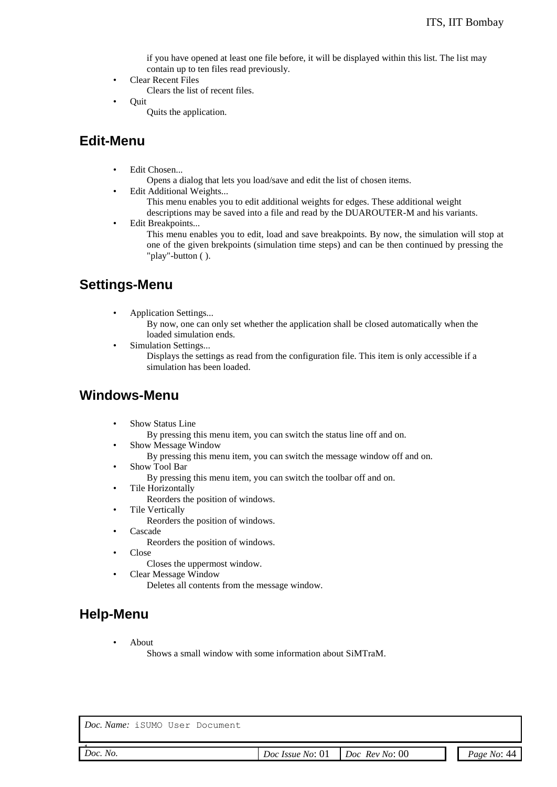if you have opened at least one file before, it will be displayed within this list. The list may contain up to ten files read previously.

- Clear Recent Files Clears the list of recent files.
- Quit
	- Quits the application.

### **Edit-Menu**

- Edit Chosen...
	- Opens a dialog that lets you load/save and edit the list of chosen items.
	- Edit Additional Weights...
		- This menu enables you to edit additional weights for edges. These additional weight
		- descriptions may be saved into a file and read by the DUAROUTER-M and his variants.
- Edit Breakpoints...

This menu enables you to edit, load and save breakpoints. By now, the simulation will stop at one of the given brekpoints (simulation time steps) and can be then continued by pressing the "play"-button ( ).

### **Settings-Menu**

- Application Settings...
	- By now, one can only set whether the application shall be closed automatically when the loaded simulation ends.
- Simulation Settings...
	- Displays the settings as read from the configuration file. This item is only accessible if a simulation has been loaded.

#### **Windows-Menu**

- Show Status Line
	- By pressing this menu item, you can switch the status line off and on.
- Show Message Window
	- By pressing this menu item, you can switch the message window off and on.
- Show Tool Bar
	- By pressing this menu item, you can switch the toolbar off and on.
	- Tile Horizontally Reorders the position of windows.
- Tile Vertically
	- Reorders the position of windows.
- Cascade
	- Reorders the position of windows.
- Close
	- Closes the uppermost window.
	- Clear Message Window

Deletes all contents from the message window.

### **Help-Menu**

• About

Shows a small window with some information about SiMTraM.

| Doc. Name: iSUMO User Document |  |  |
|--------------------------------|--|--|
|                                |  |  |

| Doc.<br>INO.<br>.<br>. | No:<br>Doc<br><i>Issue</i><br>$\sim$ $\sim$ | 00<br>No:<br>Kev<br>Doc<br>- - | /1/1<br>No <sup>.</sup><br>Page |
|------------------------|---------------------------------------------|--------------------------------|---------------------------------|
|                        |                                             |                                |                                 |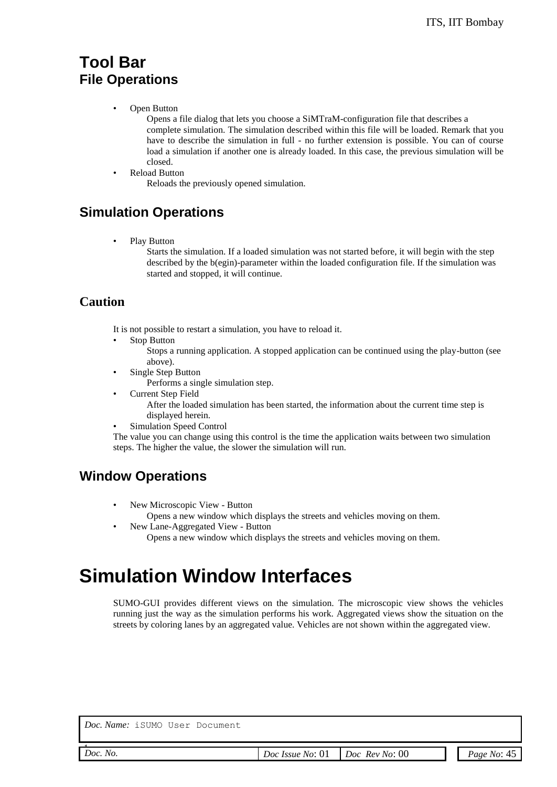### **Tool Bar File Operations**

• Open Button

Opens a file dialog that lets you choose a SiMTraM-configuration file that describes a complete simulation. The simulation described within this file will be loaded. Remark that you have to describe the simulation in full - no further extension is possible. You can of course load a simulation if another one is already loaded. In this case, the previous simulation will be closed.

• Reload Button

Reloads the previously opened simulation.

### **Simulation Operations**

Play Button

Starts the simulation. If a loaded simulation was not started before, it will begin with the step described by the b(egin)-parameter within the loaded configuration file. If the simulation was started and stopped, it will continue.

#### **Caution**

It is not possible to restart a simulation, you have to reload it.

Stop Button

Stops a running application. A stopped application can be continued using the play-button (see above).

Single Step Button

Performs a single simulation step.

• Current Step Field

After the loaded simulation has been started, the information about the current time step is displayed herein.

Simulation Speed Control

The value you can change using this control is the time the application waits between two simulation steps. The higher the value, the slower the simulation will run.

### **Window Operations**

• New Microscopic View - Button

Opens a new window which displays the streets and vehicles moving on them.

• New Lane-Aggregated View - Button Opens a new window which displays the streets and vehicles moving on them.

## **Simulation Window Interfaces**

SUMO-GUI provides different views on the simulation. The microscopic view shows the vehicles running just the way as the simulation performs his work. Aggregated views show the situation on the streets by coloring lanes by an aggregated value. Vehicles are not shown within the aggregated view.

*Doc. Name:* iSUMO User Document

*Doc. No.*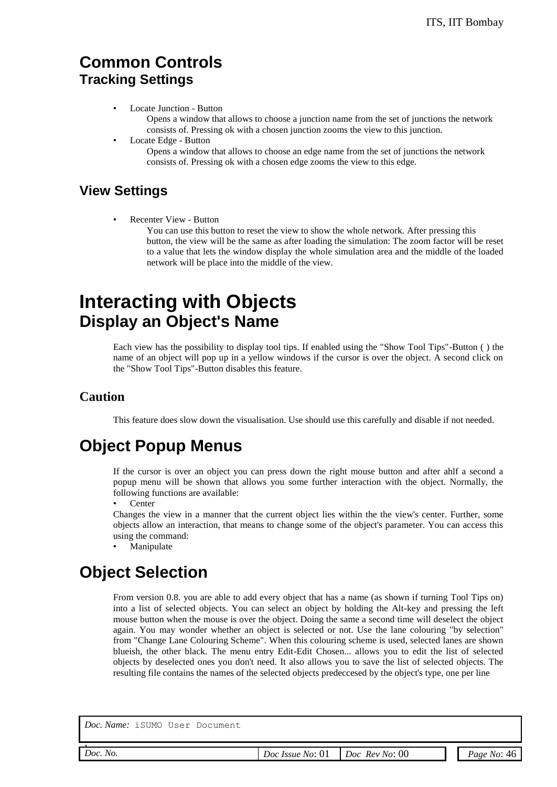### **Common Controls Tracking Settings**

• Locate Junction - Button

Opens a window that allows to choose a junction name from the set of junctions the network consists of. Pressing ok with a chosen junction zooms the view to this junction.

• Locate Edge - Button

Opens a window that allows to choose an edge name from the set of junctions the network consists of. Pressing ok with a chosen edge zooms the view to this edge.

### **View Settings**

Recenter View - Button

You can use this button to reset the view to show the whole network. After pressing this button, the view will be the same as after loading the simulation: The zoom factor will be reset to a value that lets the window display the whole simulation area and the middle of the loaded network will be place into the middle of the view.

## **Interacting with Objects Display an Object's Name**

Each view has the possibility to display tool tips. If enabled using the "Show Tool Tips"-Button ( ) the name of an object will pop up in a yellow windows if the cursor is over the object. A second click on the "Show Tool Tips"-Button disables this feature.

#### **Caution**

This feature does slow down the visualisation. Use should use this carefully and disable if not needed.

## **Object Popup Menus**

If the cursor is over an object you can press down the right mouse button and after ahlf a second a popup menu will be shown that allows you some further interaction with the object. Normally, the following functions are available:

**Center** 

Changes the view in a manner that the current object lies within the the view's center. Further, some objects allow an interaction, that means to change some of the object's parameter. You can access this using the command:

**Manipulate** 

## **Object Selection**

From version 0.8. you are able to add every object that has a name (as shown if turning Tool Tips on) into a list of selected objects. You can select an object by holding the Alt-key and pressing the left mouse button when the mouse is over the object. Doing the same a second time will deselect the object again. You may wonder whether an object is selected or not. Use the lane colouring "by selection" from "Change Lane Colouring Scheme". When this colouring scheme is used, selected lanes are shown blueish, the other black. The menu entry Edit-Edit Chosen... allows you to edit the list of selected objects by deselected ones you don't need. It also allows you to save the list of selected objects. The resulting file contains the names of the selected objects predeccesed by the object's type, one per line

| loc. r | Ω |
|--------|---|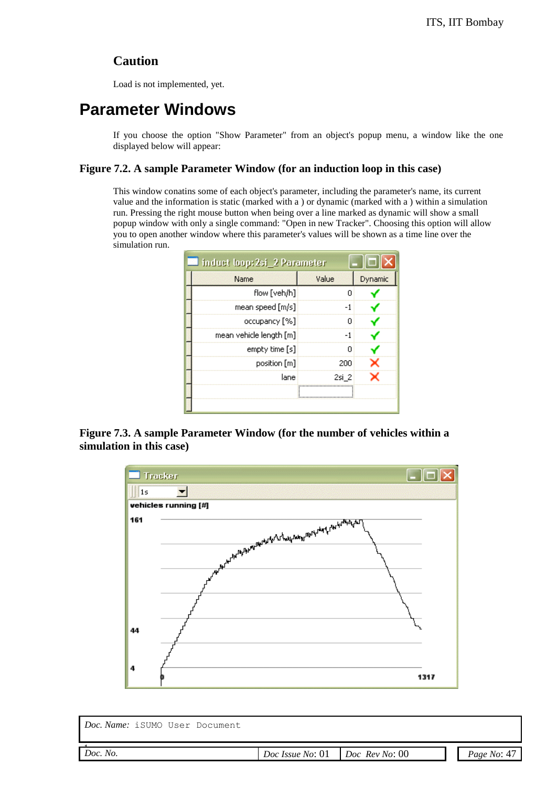#### **Caution**

Load is not implemented, yet.

## **Parameter Windows**

If you choose the option "Show Parameter" from an object's popup menu, a window like the one displayed below will appear:

#### **Figure 7.2. A sample Parameter Window (for an induction loop in this case)**

This window conatins some of each object's parameter, including the parameter's name, its current value and the information is static (marked with a ) or dynamic (marked with a ) within a simulation run. Pressing the right mouse button when being over a line marked as dynamic will show a small popup window with only a single command: "Open in new Tracker". Choosing this option will allow you to open another window where this parameter's values will be shown as a time line over the simulation run.

| <b>Induct loop: 2si_2 Parameter</b> |       |         |
|-------------------------------------|-------|---------|
| Name                                | Value | Dynamic |
| flow [veh/h]                        | 0     |         |
| mean speed $[m/s]$                  | $-1$  |         |
| occupancy [%]                       | 0     |         |
| mean vehicle length [m]             | -1    |         |
| empty time [s]                      | 0     |         |
| position [m]                        | 200   |         |
| lane                                | 2si 2 |         |
|                                     |       |         |
|                                     |       |         |

**Figure 7.3. A sample Parameter Window (for the number of vehicles within a simulation in this case)**



| Doc. Name: iSUMO User Document |                  |                       |             |
|--------------------------------|------------------|-----------------------|-------------|
| Doc. No.                       | Doc Issue No: 01 | $Doc$ $Rev$ $No$ : 00 | Page No: 47 |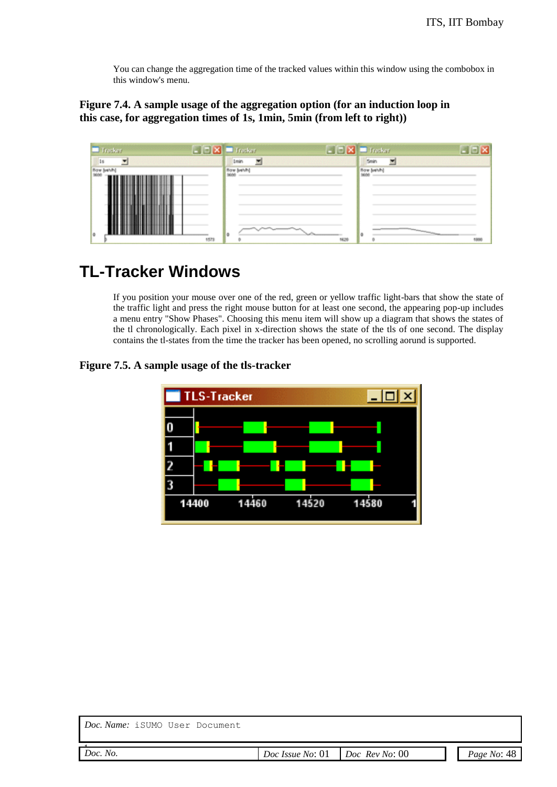You can change the aggregation time of the tracked values within this window using the combobox in this window's menu.

#### **Figure 7.4. A sample usage of the aggregation option (for an induction loop in this case, for aggregation times of 1s, 1min, 5min (from left to right))**



## **TL-Tracker Windows**

If you position your mouse over one of the red, green or yellow traffic light-bars that show the state of the traffic light and press the right mouse button for at least one second, the appearing pop-up includes a menu entry "Show Phases". Choosing this menu item will show up a diagram that shows the states of the tl chronologically. Each pixel in x-direction shows the state of the tls of one second. The display contains the tl-states from the time the tracker has been opened, no scrolling aorund is supported.

#### **Figure 7.5. A sample usage of the tls-tracker**



| Doc. Name: iSUMO User Document |                                   |             |
|--------------------------------|-----------------------------------|-------------|
| Doc. No.                       | $Doc$ Issue No: 01 Doc Rev No: 00 | Page No: 48 |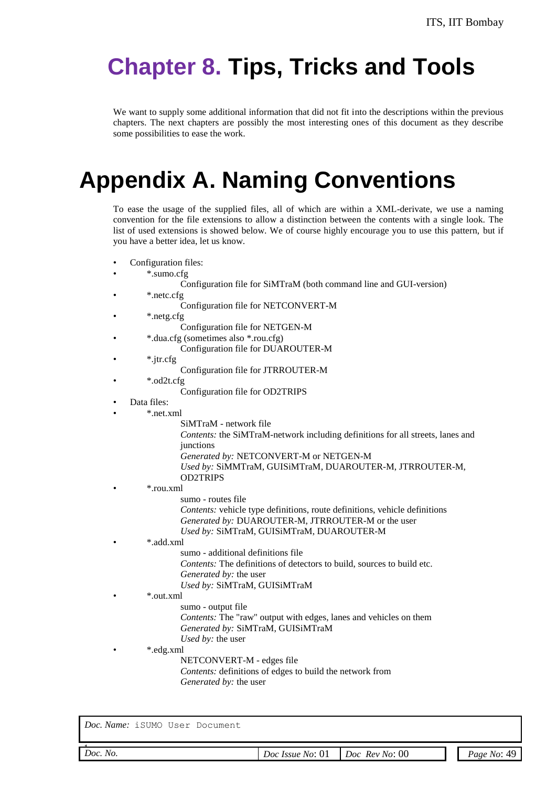# **Chapter 8. Tips, Tricks and Tools**

We want to supply some additional information that did not fit into the descriptions within the previous chapters. The next chapters are possibly the most interesting ones of this document as they describe some possibilities to ease the work.

# **Appendix A. Naming Conventions**

To ease the usage of the supplied files, all of which are within a XML-derivate, we use a naming convention for the file extensions to allow a distinction between the contents with a single look. The list of used extensions is showed below. We of course highly encourage you to use this pattern, but if you have a better idea, let us know.

- Configuration files:
- \*.sumo.cfg
	- Configuration file for SiMTraM (both command line and GUI-version)
- \*.netc.cfg
	- Configuration file for NETCONVERT-M
- \*.netg.cfg
	- Configuration file for NETGEN-M
		- \*.dua.cfg (sometimes also \*.rou.cfg)
			- Configuration file for DUAROUTER-M
- \*.jtr.cfg
	- Configuration file for JTRROUTER-M
- \*.od2t.cfg
	- Configuration file for OD2TRIPS
- Data files:
- \*.net.xml
	- SiMTraM network file
		- *Contents:* the SiMTraM-network including definitions for all streets, lanes and junctions
	- *Generated by:* NETCONVERT-M or NETGEN-M
	- *Used by:* SiMMTraM, GUISiMTraM, DUAROUTER-M, JTRROUTER-M, OD2TRIPS
	- \*.rou.xml
		- sumo routes file
		- *Contents:* vehicle type definitions, route definitions, vehicle definitions *Generated by:* DUAROUTER-M, JTRROUTER-M or the user *Used by:* SiMTraM, GUISiMTraM, DUAROUTER-M

#### • \*.add.xml

- sumo additional definitions file
	- *Contents:* The definitions of detectors to build, sources to build etc. *Generated by:* the user
- *Used by:* SiMTraM, GUISiMTraM

#### • \*.out.xml

- sumo output file
- *Contents:* The "raw" output with edges, lanes and vehicles on them *Generated by:* SiMTraM, GUISiMTraM
- *Used by:* the user

#### • \*.edg.xml

- NETCONVERT-M edges file
- *Contents:* definitions of edges to build the network from *Generated by:* the user